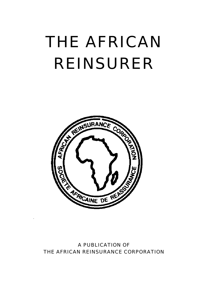# THE AFRICAN REINSURER  $\frac{1}{2}$



### A PUBLICATION OF THE AFRICAN REINSURANCE CORPORATION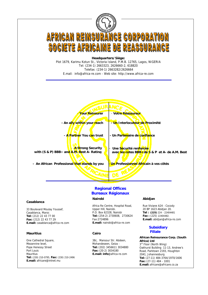

#### **Regional Offices Bureaux Régionaux**

#### **Nairobi**

Africa Re Centre, Hospital Road, Upper Hill, Nairobi. P.O. Box 62328, Nairobi **Tel:** (254-2) 2730608, 2730624 Fax:2724896 **E.mail:** nairobi@africa-re.com

38c, Mansour Str. Abdeen, Mohandeseen, Geiza - **Tel:** (202) 3456611 3034880 **Fax:** (20-2) 3034180 **E.mail: info**@africa-re.com

#### **Abidjan**

Rue Viviane A24 - Cocody 20 BP 1623 Abidjan 20. **Tel : (225)** 224 - 22404481 **Fax :** (225) 22404482. **E.mail:** abidjan@africa-re.com

#### **Subsidiary Filiale Cairo**

**E.mail:** africare@africare.co.za

**African Reinsurance Corp. (South Africa) Ltd**  3<sup>rd</sup> Floor (North Wing) Oakhurst Building 11-13, Andrew's Road, Parktown 2193, Houghton 2041, Johannesburg **Tel:** (27-11) 484-3764/1970/1606 **Fax:** (27-11) 484 - 1001

#### 33 Boulevard Moulay Youssef, Casablanca, Maroc

**Casablanca**

**Tel:** (212) 22 43 77 00 **Fax:** (212) 22 43 77 29 **E.mail:** casablanca@africa-re.com

#### **Mauritius**

One Cathedral Square, Mezannine level, Pope Henessy Street Port Louis **Mauritius Tel:** (230) 210-0795, **Fax:** (230) 210-2496 **E.mail:** africare@intnet.mu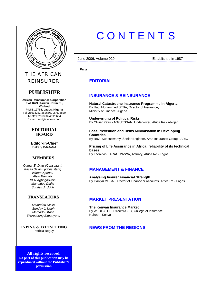

THE AFRICAN REINSURER

#### **PUBLISHER**

**African Reinsurance Corporation Plot 1679, Karimu Kotun St., V/Island P.M.B.12765, Lagos, Nigeria**  Tel: 2663323,, 2626660-2, 618820 Telefax: 2663282/2626664 E.mail: info@africa-re.com

#### **EDITORIAL BOARD**

**Editor-in-Chief**  Bakary *KAMARA*

#### **MEMBERS**

*Oumar E. Diaw (Consultant) Kasali Salami (Consultant) Isidore Kpenou Alain Ravoaja KEN Aghoghovbia Mamadou Diallo Sunday J. Udoh* 

#### **TRANSLATORS**

*Mamadou Diallo Sunday J. Udoh Mamadou Kane Ekereobong Ekpenyong* 

**TYPING & TYPESETTING** Patricia Beguy

**All rights reserved. No part of this publication may be reproduced without the Publisher's permission**

# **CONTENTS**

 June 2006, Volume 020 Established in 1987 -------------------------------------------------------------------------------------------------------------------------------

**Page** 

**EDITORIAL**

#### **INSURANCE & REINSURANCE**

**Natural Catastrophe Insurance Programme in Algeria**  By Hadj Mohammed SEBA, Director of Insurance**,** Ministry of Finance, Algeria

**Underwriting of Political Risks**  By Olivier Patrick N'GUESSAN, Underwriter, Africa Re - Abidjan

**Loss Prevention and Risks Minimisation in Developing Countries**  By Ravi Kuppuswamy, Senior Engineer, Arab Insurance Group - ARIG

**Pricing of Life Assurance in Africa: reliability of its technical bases**  By Léonidas BARAGUNZWA, Actuary, Africa Re - Lagos

#### **MANAGEMENT & FINANCE**

**Analysing Insurer Financial Strength**  By Ganiyu MUSA, Director of Finance & Accounts, Africa Re - Lagos

#### **MARKET PRESENTATION**

**The Kenyan Insurance Market**  By W. OLOTCH, Director/CEO, College of Insurance, Nairobi - Kenya

#### **NEWS FROM THE REGIONS**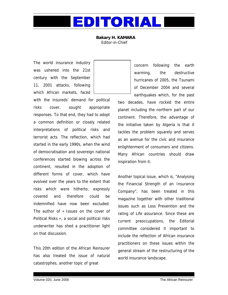

**Bakary H. KAMARA**  Editor-in-Chief

The world insurance industry was ushered into the 21st century with the September 11, 2001 attacks, following which African markets, faced

with the insureds' demand for political risks cover, sought appropriate responses. To that end, they had to adopt a common definition or closely related interpretations of political risks and terrorist acts. The reflection, which had started in the early 1990s, when the wind of democratisation and sovereign national conferences started blowing across the continent, resulted in the adoption of different forms of cover, which have evolved over the years to the extent that risks which were hitherto, expressly covered and therefore could be indemnified have now been excluded. The author of « Issues on the cover of Political Risks », a social and political risks underwriter has shed a practitioner light on that discussion.

This 20th edition of the African Reinsurer has also treated the issue of natural catastrophes, another topic of great

concern following the earth warming, the destructive hurricanes of 2005, the Tsunami of December 2004 and several earthquakes which, for the past

two decades, have rocked the entire planet including the northern part of our continent. Therefore, the advantage of the initiative taken by Algeria is that it tackles the problem squarely and serves as an avenue for the civic and insurance enlightenment of consumers and citizens. Many African countries should draw inspiration from it.

Another topical issue, which is, "Analysing the Financial Strength of an Insurance Company", has been treated in this magazine together with other traditional issues such as Loss Prevention and the rating of Life assurance. Since these are current preoccupations, the Editorial committee considered it important to include the reflection of African insurance practitioners on these issues within the general stream of the restructuring of the world insurance landscape.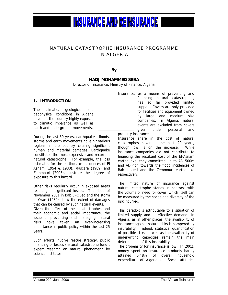#### NATURAL CATASTROPHE INSURANCE PROGRAMME IN ALGERIA

**By** 

#### **HADJ MOHAMMED SEBA**

Director of Insurance, Ministry of Finance, Algeria

#### **I. INTRODUCTION**

The climatic, geological and geophysical conditions in Algeria have left the country highly exposed to climatic imbalance as well as earth and underground movements.

During the last 30 years, earthquakes, floods, storms and earth movements have hit various regions in the country causing significant human and material damages. Earthquake constitutes the most expensive and recurrent natural catastrophe. For example, the loss estimates for the earthquake incidences of El Asnam (1954 & 1980), Mascara (1989) and Zammouri (2003), illustrate the degree of exposure to this hazard.

Other risks regularly occur in exposed areas resulting in significant losses. The flood of November 2001 in Bab El-Oued and the storm in Oran (1980) show the extent of damages that can be caused by such natural events.

Given the effect of these catastrophes and their economic and social importance, the issue of preventing and managing natural risks have taken an ever-increasing importance in public policy within the last 25 years.

Such efforts involve rescue strategy, public financing of losses (natural catastrophe fund), expert research on natural phenomena by science institutes.

Insurance, as a means of preventing and financing natural catastrophes, has so far provided limited support. Covers are only provided for facilities and equipment owned by large and medium size companies. In Algeria, natural events are excluded from covers given under personal and

property insurance.

Insurance share in the cost of natural catastrophes cover in the past 20 years, though low, is on the increase. While insurance companies did not contribute to financing the resultant cost of the El-Asnam earthquake, they committed up to AD 500m and AD 4bn towards the flood incidences of Bab-el-oued and the Zemmouri earthquake respectively.

The limited nature of insurance against natural catastrophe stands in contrast with the volume of need for cover, which itself can be measured by the scope and diversity of the risk incurred.

This paradox is attributable to a situation of limited supply and in effective demand. In Algeria, as in other places, the availability of insurance against natural risks is hampered by insurability. Indeed, statistical quantification of possible risks as well as the availability of underwriting capacities remain the main determinants of this insurability.

The propensity for insurance is low. In 2002, money spent on insurance products hardly attained 0.48% of overall household expenditure of Algerians. Social attitudes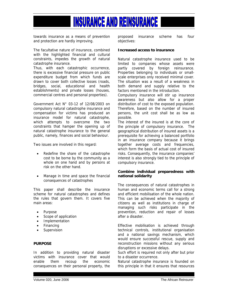

towards insurance as a means of prevention and protection are hardly improving.

The facultative nature of insurance, combined with the highlighted financial and cultural constraints, impedes the growth of natural catastrophe insurance.

Thus, with each catastrophic occurrence, there is excessive financial pressure on public expenditure budget from which funds are drawn to cover both collective losses (roads, bridges, social, educational and health establishments) and private losses (houses, commercial centres and personal properties).

Government Act N° 03-12 of 12/08/2003 on compulsory natural catastrophe insurance and compensation for victims has produced an insurance model for natural catastrophe, which attempts to overcome the two constraints that hamper the opening up of natural catastrophe insurance to the general public, namely, finances and social behaviour.

Two issues are involved in this regard:

- Redefine the share of the catastrophe cost to be borne by the community as a whole on one hand and by persons at risk on the other hand.
- Manage in time and space the financial consequences of catastrophes

This paper shall describe the insurance scheme for natural catastrophes and defines the rules that govern them. It covers five main areas:

- Purpose
- Scope of application
- **Implementation**
- **Financing**
- **Supervision**

#### **PURPOSE**

In addition to providing natural disaster victims with insurance cover that would enable them recoup the economic consequences on their personal property, the proposed insurance scheme has four objectives:

#### **Increased access to insurance**

Natural catastrophe insurance used to be limited to companies whose assets were partly covered by foreign reinsurance. Properties belonging to individuals or smallscale enterprises only received minimal cover. The situation was a result of a weakness in both demand and supply relative to the factors mentioned in the introduction.

Compulsory insurance will stir up insurance awareness but also allow for a proper distribution of cost to the exposed population. Therefore, based on the number of insured persons, the unit cost shall be as low as possible.

The interest of the insured is at the core of the principle of compulsory insurance. The geographical distribution of insured assets is a prerequisite for achieving a balanced portfolio in an insurance company because it brings together average costs and frequencies. which form the basis of actual cost of insured risks. Consequently, the insurance companies' interest is also strongly tied to the principle of compulsory insurance.

#### **Combine individual preparedness with national solidarity**

The consequences of natural catastrophes in human and economic terms call for a strong and efficient mobilisation of the whole nation. This can be achieved when the majority of citizens as well as institutions in charge of managing such risks participate in the prevention, reduction and repair of losses after a disaster.

Effective mobilisation is achieved through technical controls, institutional organisation and a national savings mechanism, which would ensure successful rescue, supply and reconstruction missions without any serious disruptions or excessive delays.

Such effort is required not only after but prior to a disaster occurrence.

Natural catastrophe insurance is founded on this principle in that it ensures that resources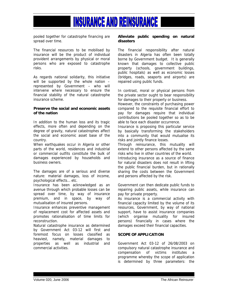pooled together for catastrophe financing are spread over time.

The financial resources to be mobilised by insurance will be the product of individual provident arrangements by physical or moral persons who are exposed to catastrophe risks.

As regards national solidarity, this initiative will be supported by the whole nation – represented by Government – who will intervene where necessary to ensure the financial stability of the natural catastrophe insurance scheme.

#### **Preserve the social and economic assets of the nation**

In addition to the human loss and its tragic effects, more often and depending on the degree of gravity, natural catastrophes affect the social and economic asset base of the country.

When earthquakes occur in Algeria or other parts of the world, residences and industrial or commercial outfits constitute the bulk of damages experienced by households and business owners.

The damages are of a serious and diverse nature: material damages, loss of income, psychological effects… etc.

Insurance has been acknowledged as an avenue through which probable losses can be spread over time, by way of insurance premium, and in space, by way of mutualisation of insured persons.

Insurance enhances preventive management of replacement cost for affected assets and promotes rationalisation of time limits for reconstruction.

Natural catastrophe insurance as determined by Government Act 03-12 will first and foremost focus on losses classified as heaviest, namely, material damages to properties as well as industrial and commercial activities.

#### **Alleviate public spending on natural disasters**

The financial responsibility after natural disasters in Algeria has often been totally borne by Government budget. It is generally known that damages to collective public property (schools, government buildings, public hospitals) as well as economic losses (bridges, roads, seaports and airports) are repaired using public funds.

In contrast, moral or physical persons from the private sector ought to bear responsibility for damages to their property or business.

However, the constraints of purchasing power compared to the requisite financial effort to pay for damages require that individual contributions be pooled together so as to be able to face each disaster occurrence.

Insurance is proposing this particular service by basically transforming the stakeholders into a community that would mutualise its risks and jointly finance losses.

Through reinsurance, this mutuality will extend to other persons affected by the same risks who live in other countries of the world.

Introducing insurance as a source of finance for natural disasters does not result in lifting the public financial burden, but in rationally sharing the costs between the Government and persons affected by the risk.

Government can then dedicate public funds to repairing public assets, while insurance can pay for private property.

As insurance is a commercial activity with financial capacity limited by the volume of its resources, Government, by way of national support, have to assist insurance companies (which organise mutuality for insured persons) financially in cases where the damages exceed their financial capacities.

#### **SCOPE OF APPLICATION**

Government Act 03-12 of 26/08/2003 on compulsory natural catastrophe insurance and compensation of victims institutes a programme whereby the scope of application is determined by three parameters: the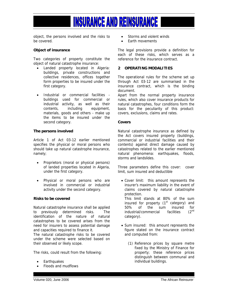object, the persons involved and the risks to be covered.

#### **Object of insurance**

Two categories of property constitute the object of natural catastrophe insurance:

- Landed property located in Algeria: buildings, private constructions and collective residences, offices together form properties to be insured under the first category.
- Industrial or commercial facilities buildings used for commercial or industrial activity, as well as their contents, including equipment, materials, goods and others - make up the items to be insured under the second category.

#### **The persons involved**

Article 1 of Act 03-12 earlier mentioned specifies the physical or moral persons who should take up natural catastrophe insurance, namely;

- Proprietors (moral or physical persons) of landed properties located in Algeria, under the first category.
- Physical or moral persons who are involved in commercial or industrial activity under the second category.

#### **Risks to be covered**

Natural catastrophe insurance shall be applied to previously determined risks. The identification of the nature of natural catastrophes to be covered arises from the need for insurers to assess potential damage and capacities required to finance it.

The natural catastrophe risks to be covered under the scheme were selected based on their observed or likely scope.

The risks, could result from the following:

- **Earthquakes**
- Floods and mudflows
- Storms and violent winds
- Earth movements

The legal provisions provide a definition for each of these risks, which serves as a reference for the insurance contract.

#### **2 OPERATING MODALITIES**

The operational rules for the scheme set up through Act 03-12 are summarised in the insurance contract, which is the binding document.

Apart from the normal property insurance rules, which also cover insurance products for natural catastrophes, four conditions form the basis for the peculiarity of this product: covers, exclusions, claims and rates.

#### **Covers**

Natural catastrophe insurance as defined by the Act covers insured property (buildings, commercial or industrial facilities and their contents) against direct damage caused by catastrophes related to the earlier mentioned natural phenomena: earthquakes, floods, storms and landslides.

Three parameters define this cover: cover limit, sum insured and deductible

- Cover limit: this amount represents the insurer's maximum liability in the event of claims covered by natural catastrophe protection. This limit stands at 80% of the sum insured for property  $(1<sup>st</sup> category)$  and 50% of the sum insured for industrial/commercial facilities (2nd category).
- Sum insured: this amount represents the figure stated on the insurance contract and computed from:
	- (1) Reference prices by square metre fixed by the Ministry of Finance for property; these reference prices distinguish between communal and individual buildings.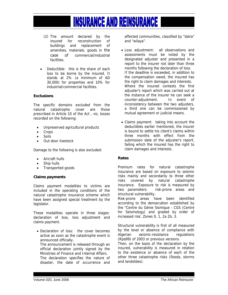- (2) The amount declared by the insured for reconstruction of buildings and replacement of amenities, materials, goods in the case of commercial/industrial facilities.
- Deductible: this is the share of each loss to be borne by the insured. It stands at 2% (a minimum of AD 30,000) for properties and 10% for industrial/commercial facilities.

#### **Exclusions**

The specific domains excluded from the natural catastrophe cover are those prescribed in Article 10 of the Act , viz, losses recorded on the following:

- Unpreserved agricultural products
- Crops
- Soils
- Out-door livestock

Damage to the following is also excluded:

- Aircraft hulls
- Ship hulls
- Transported goods

#### **Claims payments**

Claims payment modalities to victims are included in the operating conditions of the natural catastrophe insurance scheme which have been assigned special treatment by the legislator.

These modalities operate in three stages: declaration of loss, loss adjustment and claims payment.

• Declaration of loss: the cover becomes active as soon as the catastrophe event is announced officially.

 The announcement is released through an official declaration jointly signed by the Ministries of Finance and Internal Affairs.

 The declaration specifies the nature of disaster, the date of occurrence and affected communities, classified by "daïra" and "wilaya".

- Loss adjustment: all observations and assessments must be noted by the designated adjuster and presented in a report to the insurer not later than three months following the declaration of loss. If the deadline is exceeded, in addition to the compensation owed, the insured has the right to claim damages and interests. Where the insured contests the first adjuster's report which was carried out at the instance of the insurer he can seek a counter-adjustment. In event of inconsistency between the two adjusters, a third one can be commissioned by mutual agreement or judicial means.
- Claims payment: taking into account the deductibles earlier mentioned, the insurer is bound to settle his client's claims within three months with effect from the submission date of the adjuster's report, failing which the insured has the right to claim damages and interests.

#### **Rates**

Premium rates for natural catastrophe insurance are based on exposure to seismic risks mainly and secondarily to three other risks covered by natural catastrophe insurance. Exposure to risk is measured by two parameters: risk-prone areas and structural vulnerability.

Risk-prone areas have been identified according to the demarcation established by the "Centre du Génie Sismique - CGS (Centre for Seismology) and graded by order of increased risk: Zones 0, 1, 2a 2b, 3.

Structural vulnerability is first of all measured by the level or absence of compliance with Algerian seismic-resistance regulations (Rpa99) of 2003 or previous versions.

Then, on the basis of the declaration by the insured, vulnerability is measured in relation to the existence or absence of each of the other three catastrophe risks (floods, storms and landslides).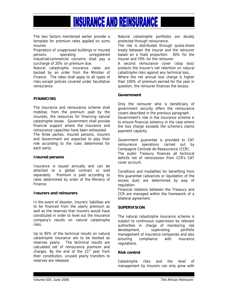The two factors mentioned earlier provide a template for premium rates applied on sums insured.

Proprietors of unapproved buildings or insured persons operating unregistered industrial/commercial concerns shall pay a surcharge of 20% on premium due.

Natural catastrophe insurance rates are backed by an order from the Minister of Finance. The rates shall apply to all types of risks except policies covered under facultative reinsurance.

#### **FINANCING**

The insurance and reinsurance scheme shall mobilise, from the premium paid by the insureds, the resources for financing natural catastrophe losses. Government shall provide financial support where the insurance and reinsurance capacities have been exhausted.

The three parties, insured persons, insurers and Government are expected to play their role according to the rules determined for each party.

#### **Insured persons**

Insurance is issued annually and can be attached to a global contract or sold separately. Premium is paid according to rates determined by order of the Ministry of Finance.

#### **Insurers and reinsurers**

In the event of disaster, insurers' liabilities are to be financed from the yearly premium as well as the reserves that insurers would have constituted in order to level out the insurance company's results on natural catastrophe risks.

Up to 95% of the technical results on natural catastrophe insurance are to be booked as reserves yearly. The technical results are calculated net of reinsurance premium and charges. By the end of the  $21<sup>st</sup>$  year from their constitution, unused yearly transfers to reserves are released.

Natural catastrophe portfolios are doubly protected through reinsurance.

The risk is distributed through quota-share treaty between the insurer and the reinsurer based on a fixed proportion: 30% for the insurer and 70% for the reinsurer.

A second reinsurance cover (stop loss) protects the insurer's net retention on natural catastrophe risks against any technical loss.

Where the net annual loss charge is higher than 100% of premium earned for the year in question, the reinsurer finances the excess.

#### **Government**

Only the reinsurer who is beneficiary of government security offers the reinsurance covers described in the previous paragraph. Government's role in the insurance scheme is to ensure financial solvency in the case where the loss charge exceeds the scheme's claims payment capacity.

Government guarantee is provided to CAT reinsurance operations carried out by Compagnie Centrale de Reassurance (CCR). The public Treasury finances all technical deficits net of retrocession from CCR's CAT cover account.

Conditions and modalities for benefiting from this guarantee (advances or liquidation of the excess due) are determined by way of regulation.

Financial relations between the Treasury and CCR are managed within the framework of a bilateral agreement.

#### **SUPERVISION**

The natural catastrophe insurance scheme is subject to continuous supervision by relevant authorities in charge of monitoring risk development, supervising portfolio management of insurance companies and also ensuring compliance with insurance regulations.

#### **Risk control**

Catastrophe risks and the level of management by insurers can only grow with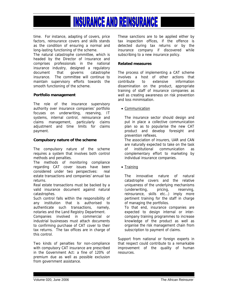time. For instance, adapting of covers, price factors, reinsurance covers and skills stands as the condition of ensuring a normal and long-lasting functioning of the scheme.

The natural catastrophe committee, which is headed by the Director of Insurance and comprises professionals in the national insurance industry, designed a regulatory document that governs catastrophe insurance. The committee will continue to maintain supervisory efforts towards the smooth functioning of the scheme.

#### **Portfolio management**

The role of the insurance supervisory authority over insurance companies' portfolio focuses on underwriting, reserving, IT systems, internal control, reinsurance and claims management, particularly claims adjustment and time limits for claims payment.

#### **Compulsory nature of the scheme**

The compulsory nature of the scheme requires a system that involves both control methods and penalties.

The methods of monitoring compliance regarding CAT cover issues have been considered under two perspectives: real estate transactions and companies' annual tax returns.

Real estate transactions must be backed by a valid insurance document against natural catastrophes.

Such control falls within the responsibility of any institution that is authorised to authenticate such transactions, namely, notaries and the Land Registry Department.

Companies involved in commercial or industrial businesses must attach documents to confirming purchase of CAT cover to their tax returns. The tax offices are in charge of this control.

Two kinds of penalties for non-compliance with compulsory CAT insurance are prescribed in the Government Act: a fine of 120% of premium due as well as possible exclusion from government assistance.

These sanctions are to be applied either by tax inspection offices, if the offence is detected during tax returns or by the insurance company if discovered while subscribing to a new insurance policy.

#### **Related measures**

The process of implementing a CAT scheme involves a host of other actions that contribute to extensive information dissemination on the product, appropriate training of staff of insurance companies as well as creating awareness on risk prevention and loss minimisation.

• Communication

The insurance sector should design and put in place a collective communication plan so as to popularise the new CAT product and develop foresight and prevention reflexes. The association of insurers, UAR and CAN

are naturally expected to take on the task of institutional communication as complementary effort to marketing by individual insurance companies.

• Training

The innovative nature of natural catastrophe covers and the relative uniqueness of the underlying mechanisms (underwriting, pricing, reserving, reinsurance, skills etc…) imply more pertinent training for the staff in charge of managing the portfolios.

To that end, insurance companies are expected to design internal or intercompany training programmes to increase knowledge of the product as well as organise the risk management chain from subscription to payment of claims.

Support from national or foreign experts in that respect could contribute to a remarkable improvement of the quality of human resources.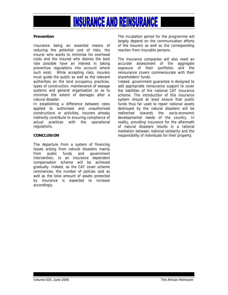#### **Prevention**

Insurance being an essential means of reducing the potential cost of risks, the insurer who wants to minimise his overhead costs and the insured who desires the best rate possible have an interest in taking preventive regulations into account where such exist. While accepting risks, insurers must guide the public as well as the relevant authorities on the land occupancy practices, types of construction, maintenance of sewage systems and general organisation so as to minimise the extent of damages after a natural disaster.

In establishing a difference between rates applied to authorised and unauthorised constructions or activities, insurers already indirectly contribute to ensuring compliance of actual practices with the operational regulations.

#### **CONCLUSION**

The departure from a system of financing losses arising from natural disasters mainly from public funds and government intervention, to an insurance dependent compensation scheme will be achieved gradually. Indeed, as the CAT cover scheme commences, the number of policies sold as well as the total amount of assets protected by insurance is expected to increase accordingly.

The incubation period for the programme will largely depend on the communication efforts of the insurers as well as the corresponding reaction from insurable persons.

The insurance companies will also need an accurate assessment of the aggregate exposure of their portfolios and the reinsurance covers commensurate with their shareholders' funds.

Indeed, government guarantee is designed to add appropriate reinsurance support to cover the liabilities of the national CAT insurance scheme. The introduction of this insurance system should at least ensure that public funds thus far used to repair national assets destroyed by the natural disasters will be redirected towards the socio-economic developmental needs of the country. In reality, providing insurance for the aftermath of natural disasters results in a rational mediation between national solidarity and the responsibility of individuals for their property.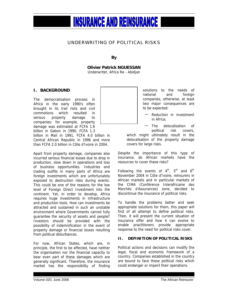#### UNDERWRITING OF POLITICAL RISKS

**By** 

**Olivier Patrick NGUESSAN**

Underwriter, Africa Re - Abidjan

#### **I. BACKGROUND**

The democratisation process in Africa in the early 1990's often brought in its trail riots and civil commotions which resulted in serious property damage to companies: for example, property damage was estimated at FCFA 1.6 billion in Gabon in 1990, FCFA 1.3 billion in Mali in 1991, FCFA 4.0 billion in

Central African Republic in 1996 and more than FCFA 2.0 billion in Côte d'Ivoire in 2004.

Apart from property damage, companies also incurred serious financial losses due to drop in production, slow down in operations and loss of business opportunities. Industries and trading outfits in many parts of Africa are foreign investments which are unfortunately exposed to destruction risks during events. This could be one of the reasons for the low level of Foreign Direct Investment into the continent. Yet, in order to develop, Africa requires huge investments in infrastructure and production tools. How can investments be attracted and sustained in such an unstable environment where Governments cannot fully guarantee the security of assets and people? Investors should be provided with the possibility of indemnification in the event of property damage or financial losses resulting from political disturbances.

For now, African States, which are, in principle, the first to be affected, have neither the organisation nor the financial capacity to bear even part of these damages which are generally significant. Therefore, the insurance market has the responsibility of finding solutions to the needs of national and foreign companies, otherwise, at least two major consequences are to be expected:

Reduction in investment in Africa;

− The delocalisation of political risk covers, which might ultimately result in the delocalisation of the property damage covers for large risks.

Despite the importance of this type of insurance, do African markets have the resources to cover these risks?

Following the events of  $4^{\text{th}}$ ,  $5^{\text{th}}$  and  $6^{\text{th}}$ November 2004 in Côte d'Ivoire, reinsurers in African markets and in particular markets of the CIMA (Conférence Interafricaine des Marchés d'Assurances) zone, decided to discontinue the insurance of political risks.

To handle the problems better and seek appropriate solutions for them, this paper will first of all attempt to define political risks. Then, it will present the current situation of insurance offer and how it can evolve to enable practitioners provide appropriate response to the need for political risks cover.

#### **II. DEFINITION OF POLITICAL RISKS**

Political actions and decisions can modify the legal, fiscal and economic framework of a country. Companies established in the country are bound to face these political risks which could endanger or imperil their operations.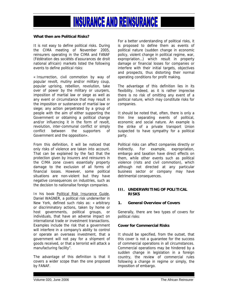

#### **What then are Political Risks?**

It is not easy to define political risks. During the CIMA meeting of November 2005, reinsurers operating in the CIMA and FANAF (Fédération des sociétés d'assurances de droit national africain) markets listed the following events to define political risks:

« Insurrection, civil commotion by way of popular revolt, mutiny and/or military coup, popular uprising, rebellion, revolution, take over of power by the military or usurpers, imposition of martial law or siege as well as any event or circumstance that may result in the imposition or sustenance of martial law or siege; any action perpetrated by a group of people with the aim of either supporting the Government or obtaining a political change and/or influencing it in the form of revolt, revolution, inter-communal conflict or simply conflict between the supporters of Government and the opposition».

From this definition, it will be noticed that only risks of violence are taken into account. That can be explained by the fact that the protection given by insurers and reinsurers in the CIMA zone covers essentially property damage to the exclusion of all forms of financial losses. However, some political situations are non-violent but they have negative consequences on industries, such as the decision to nationalise foreign companies.

In his book Political Risk Insurance Guide, Daniel WAGNER, a political risk underwriter in New York, defined such risks as: « arbitrary or discriminatory actions, taken by home or host governments, political groups, or individuals, that have an adverse impact on international trade or investment transactions. Examples include the risk that a government will interfere in a company's ability to control or operate an overseas investment, that a government will not pay for a shipment of goods received, or that a terrorist will attack a manufacturing facility".

The advantage of this definition is that it covers a wider scope than the one proposed by FANAF.

For a better understanding of political risks, it is proposed to define them as events of political nature (sudden change in economic policy, violent change in political regime, war, expropriation…) which result in property damage or financial losses for companies or interfere with their initial targets, objectives and prospects, thus distorting their normal operating conditions for profit making.

The advantage of this definition lies in its flexibility. Indeed, as it is rather imprecise there is no risk of omitting any event of a political nature, which may constitute risks for companies.

It should be noted that, often, there is only a thin line separating events of political, economic and social nature. An example is the strike of a private transport Union suspected to have sympathy for a political party.

Political risks can affect companies directly or indirectly. For example, expropriation, embargo and taxation have direct effects on them, while other events such as political violence (riots and civil commotion), which although not directed at any particular business sector or company may have detrimental consequences.

#### **III. UNDERWRITING OF POLITICAL RISKS**

#### **1. General Overview of Covers**

Generally, there are two types of covers for political risks:

#### **Cover for Commercial Risks**

It should be specified, from the outset, that this cover is not a guarantee for the success of commercial operations in all circumstances. Commercial operations may be hindered by a sudden change in legislation in a foreign country, the review of commercial rules following a change in regime or simply, the imposition of embargo.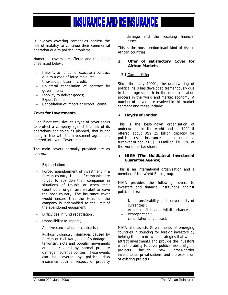It involves covering companies against the risk of inability to continue their commercial operation due to political problems.

Numerous covers are offered and the major ones listed below:

- − Inability to honour or execute a contract due to a case of force majeure;
- − Unexecuted letter of credit;
- − Unilateral cancellation of contract by government;
- − Inability to deliver goods;
- − Export Credit;
- − Cancellation of import or export license.

#### **Cover for Investments**

Even if not exclusive, this type of cover seeks to protect a company against the risk of its operations not going as planned, that is not being in line with the investment agreement entered into with Government.

The main covers normally provided are as follows:

- Expropriation;
- − Forced abandonment of investment in a foreign country: Heads of companies are forced to abandon their companies in situations of trouble or when their countries of origin raise an alert to leave the host country. The insurance cover would ensure that the Head of the company is indemnified to the limit of the abandoned equipment;
- − Difficulties in fund repatriation ;
- − Impossibility to import ;
- − Abusive cancellation of contracts ;
- − Political violence : damages caused by foreign or civil wars, acts of sabotage or terrorism, riots and popular movements are not covered by normal property damage insurance policies. These events can be covered by political risks insurance both in respect of property

damage and the resulting financial losses.

This is the most predominant kind of risk in African countries.

#### **2. Offer of satisfactory Cover for African Markets**

#### 2.1 Current Offer

Since the early 1990's, the underwriting of political risks has developed tremendously due to the progress both in the democratisation process in the world and market economy. A number of players are involved in this market segment and these include:

#### ♦ **Lloyd's of London**

This is the best-known organisation of underwriters in the world and in 1990 it offered about US\$ 25 billion capacity for political risks insurance and recorded a turnover of about US\$ 100 million, i.e. 35% of the world market share.

#### ♦ **MIGA (The Multilateral Investment Guarantee Agency)**

This is an international organisation and a member of the World Bank group.

MIGA provides the following covers to investors and financial institutions against political risks:

- Non transferability and convertibility of currencies ;
- Armed conflicts and civil disturbances :
- expropriation ;
- cancellation of contract.

MIGA also assists Governments of emerging countries in sourcing for foreign investors by helping them to draw up strategies that would attract investments and provide the investors with the ability to cover political risks. Eligible projects include new cross-border investments, privatisations, and the expansion of existing projects.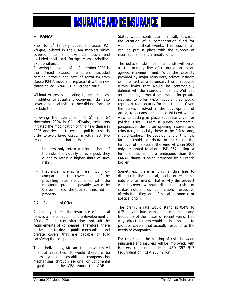#### ♦ **FANAF**

Prior to  $1<sup>st</sup>$  January 2003, a clause, P24 Afrique, existed in the CIMA markets which covered riots and civil commotion and excluded civil and foreign wars, rebellion, expropriation….

Following the events of 11 September 2001 in the United States, reinsurers excluded criminal attacks and acts of terrorism from clause P24 Afrique and replaced it with a new clause called FANAF 01 in October 2002.

Without expressly indicating it, these clauses, in addition to social and economic risks, also covered political risks, as they did not formally exclude them.

Following the events of  $4^{th}$ ,  $5^{th}$  and  $6^{th}$ November 2004 in Côte d'Ivoire, reinsurers initiated the modification of this new clause in 2005 and decided to exclude political risks in order to avoid large losses. In actual fact, two reasons motivated that decision:

- Insurers only retain a minute share of the risks. Individually or as a pool, they ought to retain a higher share of such risks ;
- − Insurance premiums are too low compared to the cover given. If the prevailing rates are complied with, the maximum premium payable would be 0.7 per mille of the total sum insured for property.

#### 2.2 Evolution of Offer

As already stated, the insurance of political risks is a major factor for the development of Africa. The current offer does not suit the requirements of companies. Therefore, there is the need to devise public mechanisms and private covers that are capable of fully satisfying the companies.

Taken individually, African states have limited financial capacities. It would therefore be necessary to establish compensation mechanisms through regional or continental organisations (the CFA zone, the ADB…). States would contribute financially towards the creation of a compensation fund for victims of political events. This mechanism can be put in place with the support of international financial institutions.

The political risks indemnity funds will serve as the primary line of recourse up to an agreed maximum limit. With the capacity provided by major reinsurers, private insurers can then act as a secondary line of recourse within limits that would be contractually defined with the insured companies. With this arrangement, it would be possible for private insurers to offer wider covers that would represent real security for investments. Given the stakes involved in the development of Africa, reflections need to be initiated with a view to putting in place adequate cover for political risks. From a purely commercial perspective, this is an opening insurers and reinsurers, especially those in the CIMA zone, should explore. The development of this new formula could contribute to increasing the turnover of markets in the zone which in 2004 only amounted to about USD 357 million. A formula that is more ambitious than the FANAF clause is being prepared by a French broker.

Sometimes, there is only a thin line to distinguish the political, social or economic nature of an event. That is why the product would cover without distinction risks of strikes, riots and civil commotion, irrespective of whether they are of social, economic or political origin.

The premium rate would stand at 0.4% to 0.7% taking into account the magnitude and frequency of the losses of recent years. This way, direct insurers would be in a position to propose covers that actually respond to the needs of companies.

For this cover, the sharing of risks between reinsurers and insurers will be improved, with insurers retaining at least USD 357 517 (equivalent of F.CFA 200 million).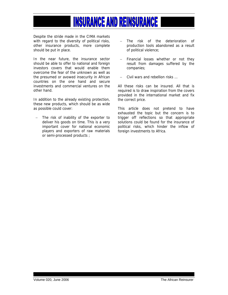Despite the stride made in the CIMA markets with regard to the diversity of political risks, other insurance products, more complete should be put in place.

In the near future, the insurance sector should be able to offer to national and foreign investors covers that would enable them overcome the fear of the unknown as well as the presumed or avowed insecurity in African countries on the one hand and secure investments and commercial ventures on the other hand.

In addition to the already existing protection, these new products, which should be as wide as possible could cover:

The risk of inability of the exporter to deliver his goods on time. This is a very important cover for national economic players and exporters of raw materials or semi-processed products ;

- The risk of the deterioration of production tools abandoned as a result of political violence;
- − Financial losses whether or not they result from damages suffered by the companies;
- − Civil wars and rebellion risks …

All these risks can be insured. All that is required is to draw inspiration from the covers provided in the international market and fix the correct price.

This article does not pretend to have exhausted the topic but the concern is to trigger off reflections so that appropriate solutions could be found for the insurance of political risks, which hinder the inflow of foreign investments to Africa.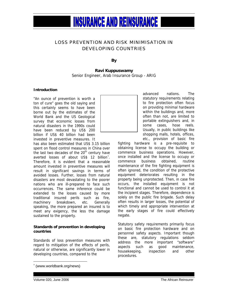#### LOSS PREVENTION AND RISK MINIMISATION IN DEVELOPING COUNTRIES

**By** 

**Ravi Kuppuswamy**  Senior Engineer, Arab Insurance Group - ARIG

#### **Introduction**

"An ounce of prevention is worth a ton of cure" goes the old saying and this certainly seems to have been borne out by the estimates of the World Bank and the US Geological survey that economic losses from natural disasters in the 1990s could have been reduced by US\$ 200 billion if US\$ 40 billion had been invested in preventive measures. It

has also been estimated that US\$ 3.15 billion spent on flood control measures in China over the last two decades of the  $20<sup>th</sup>$  century have averted losses of about US\$ 12 billion<sup>\*</sup>. Therefore, it is evident that a reasonable amount invested in preventive measures will result in significant savings in terms of avoided losses. Further, losses from natural disasters are most devastating to the poorer nations who are ill-prepared to face such occurrences. The same inference could be extended to the losses caused by more traditional insured perils such as fire, machinery breakdown, etc. Generally speaking, the more prepared an insured is to meet any exigency, the less the damage sustained to the property.

#### **Standards of prevention in developing countries**

Standards of loss prevention measures with regard to mitigation of the effects of perils, natural or otherwise, are significantly lower in developing countries, compared to the



advanced nations. The statutory requirements relating to fire protection often focus on providing minimal hardware within the buildings and, more often than not, are limited to portable extinguishers and, in some cases, hose reels. Usually, in public buildings like shopping malls, hotels, offices, etc., provision of basic fire

fighting hardware is a pre-requisite to obtaining license to occupy the building or commence business operations. However, once installed and the license to occupy or commence business obtained, routine maintenance of the fire fighting equipment is often ignored, the condition of the protective equipment deteriorates resulting in the property being unprotected. Then, in case fire occurs, the installed equipment is not functional and cannot be used to control it at the incipient stages. Therefore, dependence is solely on the public fire brigade. Such delay often results in larger losses, the potential of which timely and appropriate intervention at the early stages of fire could effectively negate.

Statutory safety requirements primarily focus on basic fire protection hardware and on personnel safety aspects. Important though these are, statutory regulations seldom address the more important "software" aspects such as good maintenance, housekeeping, inspection and other procedures.

 $\overline{a}$ 

<span id="page-17-0"></span><sup>∗</sup> (www.worldbank.org/news)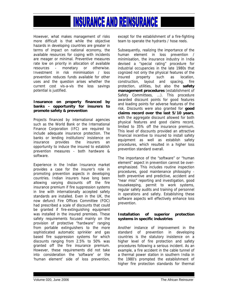However, what makes management of risks more difficult is that while the objective hazards in developing countries are greater in terms of impact on national economy, the available resources for coping with incidents are meager or minimal. Preventive measures rate low on priority in allocation of available resources - monetary or otherwise. Investment in risk minimisation / loss prevention reduces funds available for other uses and the question arises whether the current cost vis-a-vis the loss savings potential is justified.

#### **Insurance on property financed by banks - opportunity for insurers to promote safety & prevention**

Projects financed by international agencies such as the World Bank or the International Finance Corporation (IFC) are required to include adequate insurance protection. The banks or lending institutions' insistence on insurance provides the insurers an opportunity to induce the insured to establish prevention measures - both hardware & software.

Experience in the Indian Insurance market provides a case for the insurer's role in promoting prevention aspects in developing countries. Indian insurers have long been allowing varying discounts off the fire insurance premium if fire suppression systems in line with internationally accepted safety standards are installed. Even in the UK, the now defunct Fire Offices Committee (FOC) had prescribed a scale of discounts that could be granted if fire-extinguishing equipment was installed in the insured premises. These safety requirements focused mainly on the provision of protective "hardware" ranging from portable extinguishers to the more sophisticated automatic sprinkler and gas based fire suppression systems for which discounts ranging from 2.5% to 50% was granted off the fire insurance premium. However, these requirements did not take into consideration the 'software' or the 'human element' side of loss prevention,

except for the establishment of a fire-fighting team to operate the hydrants / hose reels.

Subsequently, realizing the importance of the human element in loss prevention / minimisation, the insurance industry in India devised a "special rating" procedure for industrial occupancies in the late 1980s that cognized not only the physical features of the insured property such as location, construction, layout and spacing, fire protection, utilities, but also the **safety management procedures** (establishment of Safety Committees, ...). This procedure awarded discount points for good features and loading points for adverse features of the risk. Discounts were also granted for **good claims record over the last 5/10 years**, with the aggregate discount allowed for both physical features and good claims record, limited to 35% off the insurance premium. This level of discounts provided an attractive financial incentive to insured to install safety equipment as well as establish safety procedures, which resulted in a higher loss prevention standard overall.

The importance of the "software" or "human element" aspect in prevention cannot be overemphasized. This includes routine inspection procedures, good maintenance philosophy both preventive and predictive, accident and "near miss" reporting and investigation, good housekeeping, permit to work systems, regular safety audits and training of personnel in operations and safety. Establishing these software aspects will effectively enhance loss prevention.

#### **Installation of superior protection systems in specific industries**

Another instance of improvement in the standard of prevention in developing countries is the statutory insistence on a higher level of fire protection and safety procedures following a serious incident. As an example, a fire accident in the cable tunnel of a thermal power station in southern India in the 1980's prompted the establishment of higher fire protection standards for thermal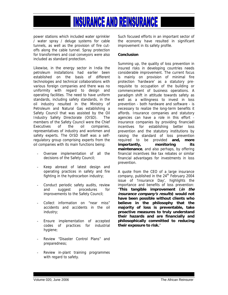power stations which included water sprinkler / water spray / deluge systems for cable tunnels, as well as the provision of fire cutoffs along the cable tunnel. Spray protection for transformers and coal conveyors were also included as standard protection.

Likewise, in the energy sector in India the petroleum installations had earlier been established on the basis of different technologies and technical collaborations with various foreign companies and there was no uniformity with regard to design and operating facilities. The need to have uniform standards, including safety standards, in the oil industry resulted in the Ministry of Petroleum and Natural Gas establishing a Safety Council that was assisted by the Oil Industry Safety Directorate (OISD). The members of the Safety Council were the Chief Executives of the oil companies, representatives of industry and workmen and safety experts. The OISD itself was a selfregulatory group comprising experts from the oil companies with its main functions being:

- Oversee implementation of all the decisions of the Safety Council;
- Keep abreast of latest design and operating practices in safety and fire fighting in the hydrocarbon industry;
- Conduct periodic safety audits, review and suggest procedures for improvements to the Safety Council;
- Collect information on "near miss" accidents and accidents in the oil industry;
- Ensure implementation of accepted codes of practices for industrial hygiene;
- Review "Disaster Control Plans" and preparedness;
- Review in-plant training programmes with regard to safety.

Such focused efforts in an important sector of the economy have resulted in significant improvement in its safety profile.

#### **Conclusion**

Summing up, the quality of loss prevention in insured risks in developing countries needs considerable improvement. The current focus is mainly on provision of minimal fire protection 'hardware' as a statutory prerequisite to occupation of the building or commencement of business operations. A paradigm shift in attitude towards safety as well as a willingness to invest in loss prevention - both hardware and software - is necessary to realize the long-term benefits it affords. Insurance companies and statutory agencies can have a role in this effort insurance companies by providing financiaél incentives for establishing better loss prevention and the statutory institutions by raising the standard of loss prevention required to be provided **and, more importantly, monitoring its maintenance**, and also perhaps, by offering financial incentives like tax rebates or similar financial advantages for investments in loss prevention.

A quote from the CEO of a large insurance company, published in the  $24<sup>th</sup>$  February 2004 issue of 'Insurance Day', highlights the importance and benefits of loss prevention: "**This tangible improvement (in the insurance company's results) would not have been possible without clients who believe in the philosophy that the majority of loss is preventable, take proactive measures to truly understand their hazards and are financially and philosophically committed to reducing their exposure to risk.**"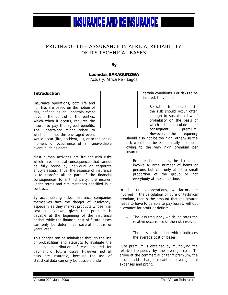# PRICING OF LIFE ASSURANCE IN AFRICA: RELIABILITY

**INSURANCE AND REINSURANCE I** 

OF ITS TECHNICAL BASES

**By** 

#### **Léonidas BARAGUNZWA**

Actuary, Africa Re - Lagos

#### **Introduction**

Insurance operations, both life and non-life, are based on the notion of risk, defined as an uncertain event beyond the control of the parties, which when it occurs, requires the insurer to pay the agreed benefits. The uncertainty might relate to whether or not the envisaged event

would occur (fire, accident, …), or to the actual moment of occurrence of an unavoidable event, such as death.

Most human activities are fraught with risks which have financial consequences that cannot be fully borne by individual or corporate entity's assets. Thus, the essence of insurance is to transfer all or part of the financial consequences to a third party, the insurer, under terms and circumstances specified in a contract.

By accumulating risks, Insurance companies themselves face the danger of insolvency, especially as they market products whose final cost is unknown, given that premium is payable at the beginning of the insurance period, while the financial cost of future losses can only be determined several months or years later.

This danger can be minimised through the use of probabilities and statistics to evaluate the equitable contribution of each insured for payment of future losses. However, not all risks are insurable, because the use of statistical data can only be possible under

certain conditions. For risks to be insured, they must:

Be rather frequent, that is, the risk should occur often enough to sustain a law of probability on the basis of which to calculate the consequent premium. However, the frequency

should also not be too high, otherwise the risk would not be economically insurable, owing to the very high premium per insured.

Be spread out, that is, the risk should involve a large number of items or persons but can only affect a small proportion of the group or not everybody at the same time.

In all insurance operations, two factors are involved in the calculation of pure or technical premium, that is the amount that the insurer needs to have to be able to pay losses, without allowance for profit or deficit:

- The loss frequency which indicates the relative occurrence of the risk involved.
- The loss distribution which indicates the average cost of losses.

Pure premium is obtained by multiplying the relative frequency by the average cost. To arrive at the commercial or tariff premium, the insurer adds charges meant to cover general expenses and profit.

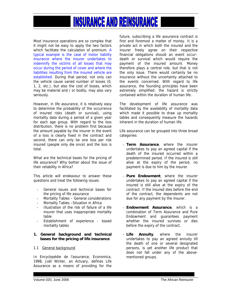Most insurance operations are so complex that it might not be easy to apply the two factors which facilitate the calculation of premium. A typical example is the case of motor liability insurance where the insurer undertakes to indemnify the victims of all losses that may occur during the period of cover and where the liabilities resulting from the insured vehicle are established. During that period, not only can the vehicle cause varied number of losses (0, 1, 2, etc.), but also the cost of losses, which may be material and / or bodily, may also vary seriously.

However, in life assurance, it is relatively easy to determine the probability of the occurrence of insured risks (death or survival), using mortality data during a period of a given year for each age group. With regard to the loss distribution, there is no problem first because the amount payable by the insurer in the event of a loss is clearly fixed in the contract and second, there can only be one loss per risk insured (people only die once) and the loss is total.

What are the technical bases for the pricing of life assurance? Why bother about the issue of their reliability in Africa?

This article will endeavour to answer these questions and treat the following issues:

- General issues and technical bases for the pricing of life assurance
- Mortality Tables General considerations
- Mortality Tables Situation in Africa
- Illustration of the risk of failure of a life insurer that uses inappropriate mortality table
- Establishment of experience based mortality tables

#### **1. General background and technical bases for the pricing of life insurance**

#### 1.1 General background

In Encyclopédie de l'assurance, Economica, 1998, Joël Winter, an Actuary, defines Life Assurance as a means of providing for the

future, subscribing a life assurance contract is first and foremost a matter of money. It is a private act in which both the insured and the insurer freely agree on their respective financial obligations should an event occur– death or survival which would require the payment of the insured amount. Money therefore plays a central role, but that is not the only issue. There would certainly be no insurance without the uncertainty attached to the events concerned. With regard to life assurance, the founding principles have been extremely simplified: the hazard is strictly contained within the duration of human life.

The development of life assurance was facilitated by the availability of mortality data which made it possible to draw up mortality tables and consequently measure the hazards inherent in the duration of human life.

Life assurance can be grouped into three broad categories:

- **Term Assurance**, where the insurer undertakes to pay an agreed capital if the death of the insured occurred within a predetermined period. If the insured is still alive at the expiry of the period, no payment is due to him by the insurer.
- **Pure Endowment**, where the insurer undertakes to pay an agreed capital if the insured is still alive at the expiry of the contract. If the insured dies before the end of the contract, the dependents are not due for any payment by the insurer.
- **Endowment Assurance**, which is a combination of Term Assurance and Pure Endowment and guarantees payment whether the insured survives or dies before the expiry of the contract.
- **Life Annuity**, where the insurer undertakes to pay an agreed annuity till the death of one or several designated persons, is yet another life product that does not fall under any of the abovementioned groups.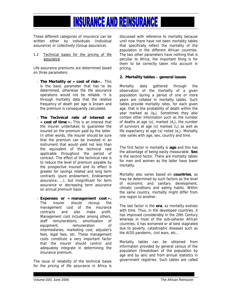These different categories of insurance can be written either by individuals (individual assurance) or collectively (Group assurance).

1.2 Technical bases for the pricing of life assurance

Life assurance premiums are determined based on three parameters:

- **The Mortality or « cost of risk».** This is the basic parameter that has to be determined, otherwise the life assurance operations would not be reliable. It is through mortality data that the relative frequency of death per age is known and the premium is consequently calculated.
- **The Technical rate of interest or « cost of time ».** This is an interest that the insurer undertakes to guarantee the insured on the premium paid by the latter. In other words, the insurer should be sure that the premium can be invested in an instrument that would yield not less than the equivalent of the technical rate applicable throughout the period of contract. The effect of the technical rate is to reduce the level of premium payable by the prospective insured and its effect is greater for savings related and long term contracts (pure endowment, Endowment assurance, …), but insignificant for term assurance or decreasing term assurance on annual premium basis.
- **Expenses or « management cost ».** The insurer should recoup the management cost of the insurance contracts and also make profit. Management cost includes among others, staff remunerations, amortisation of equipment, remuneration of intermediaries, marketing cost, adjuster's fees, legal fees, etc. These management costs constitute a very important factor that the insurer should control and adequately integrate in determining the insurance premium.

The issue of reliability of the technical bases for the pricing of life assurance in Africa is

discussed with reference to mortality because until now there have not been mortality tables that specifically reflect the mortality of the population in the different African countries. The two other parameters have nothing that is peculiar to Africa, the important thing is for them to be correctly taken into account in pricing.

#### **2. Mortality tables – general issues**

Mortality data gathered through the observation of the mortality of a given population during a period of one or more years are collated in mortality tables. Such tables provide mortality rates, for each given age, that is the probability of death within the year marked as  $(q_x)$ . Sometimes they also contain other information such as the number of deaths at age  $(x)$ , marked  $(d_x)$ , the number of survivors at age  $(x)$  marked  $(l_x)$  as well as life expectancy at age  $(x)$  noted  $(e_x)$ . Mortality rate varies with age, sex, country and time.

The first factor in mortality is **age** and this has the advantage of being easily measurable. **Sex** is the second factor. There are mortality tables for men and women as the latter have lower mortality.

Mortality also varies based on **countries**, as may be determined by such factors as the level of economic and sanitary development, climatic conditions and eating habits. Within the same country, mortality might differ from one region to another.

The last factor is the **era**, as mortality evolves with time. Thus, in the developed countries, it has improved considerably in the 20th Century whereas in most of the sub-saharan African countries, it has worsened or at best stagnated due to poverty, catastrophic diseases such as the AIDS pandemic, civil wars, etc…

Mortality tables can be obtained from information provided by general census of the population (breakdown of the population by age and by sex) and from annual statistics in government registries. Such tables are called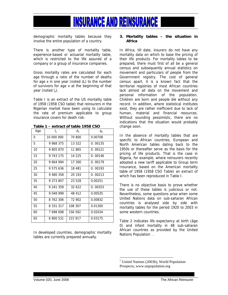

demographic mortality tables because they involve the entire population of a country.

There is another type of mortality table, experience-based or actuarial mortality table, which is restricted to the life assured of a company or a group of insurance companies.

Gross mortality rates are calculated for each age through a ratio of the number of deaths for age x in one year (noted  $d_x$ ) to the number of survivors for age x at the beginning of that year (noted  $I_x$ ).

Table I is an extract of the US mortality table of 1958 (1958 CSO table) that reinsurers in the Nigerian market have been using to calculate the rate of premium applicable to group insurance covers for death risk.

| Age | $\mathsf{I}_{\mathsf{x}}$ | $d_{x}$ | $q_{x}$ |
|-----|---------------------------|---------|---------|
| 0   | 10 000 000                | 70 800  | 0.00708 |
| 5   | 9 868 375                 | 13 322  | 0.00135 |
| 10  | 9 805 870                 | 11 865  | 0.00121 |
| 15  | 9 743 175                 | 14 225  | 0.00146 |
| 20  | 9 664 994                 | 17 300  | 0.00179 |
| 25  | 9 575 636                 | 18 481  | 0.00193 |
| 30  | 9 480 358                 | 20 193  | 0.00213 |
| 35  | 9 373 807                 | 23 528  | 0.00251 |
| 40  | 9 241 359                 | 32 622  | 0.00353 |
| 45  | 9 048 999                 | 48 412  | 0.00535 |
| 50  | 8 762 306                 | 72 902  | 0.00832 |
| 55  | 8 331 317                 | 108 307 | 0.01300 |
| 60  | 7 698 698                 | 156 592 | 0.02034 |
| 65  | 6 800 531                 | 215 917 | 0.03175 |

**Table 1 – extract of table 1958 CSO** 

In developed countries, demographic mortality tables are currently prepared annually.

#### **3. Mortality tables – the situation in Africa**

In Africa, till date, insurers do not have any mortality data on which to base the pricing of their life products. For mortality tables to be prepared, there must first of all be a general census and subsequently annual statistics on movement and particulars of people from the Government registry. The cost of general census apart, it is a known fact that the territorial registries of most African countries lack almost all data on the movement and personal information of the population. Children are born and people die without any record. In addition, where statistical institutes exist, they are rather inefficient due to lack of human, material and financial resources. Without sounding pessimistic, there are no indications that the situation would probably change soon.

In the absence of mortality tables that are specific to African countries, European and North American tables dating back to the 1950s or thereafter serve as the basis for the pricing of life products. That is the case in Nigeria, for example, where reinsurers recently adopted a new tariff applicable to Group term Insurance, based on the American mortality table of 1958 (1958 CSO Table) an extract of which has been reproduced in Table I.

There is no objective basis to prove whether the use of these tables is judicious or not. Nevertheless, some questions arise when some United Nations data on sub-saharan African countries is analysed side by side with mortality tables for the period 1920 to 2003 in some western countries.

Table 2 indicates life expectancy at birth (âge 0) and infant mortality in 48 sub-saharan African countries as provided by the United Nations Population.

<sup>1</sup> United Nations (2003b), World Population Prospects, www.unpopulation.org

 $\overline{a}$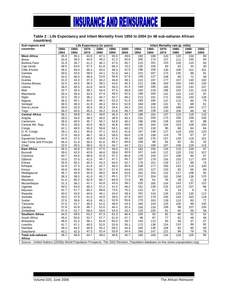**Table 2 : Life Expectancy and Infant Mortality from 1950 to 2004 (in 48 sub-saharan African countries)** 

| Sub-regions and                                                                                                                   |       |       |       | Life Expectancy (in years) |       |       |       |       | Infant Mortality rate (p. mille) |       |       |       |
|-----------------------------------------------------------------------------------------------------------------------------------|-------|-------|-------|----------------------------|-------|-------|-------|-------|----------------------------------|-------|-------|-------|
| countries                                                                                                                         | 1950- | 1960- | 1970- | 1980-                      | 1990- | 2000- | 1950- | 1960- | 1970-                            | 1980- | 1990- | 2000- |
|                                                                                                                                   | 1954  | 1964  | 1974  | 1984                       | 1994  | 2004  | 1954  | 1964  | 1974                             | 1984  | 1994  | 2004  |
| <b>West Africa</b>                                                                                                                | 35.5  | 39.1  | 43.0  | 47.1                       | 50.0  | 49.6  | 192   | 168   | 143                              | 120   | 104   | 90    |
| Benin                                                                                                                             | 33.9  | 38.0  | 44.0  | 49.2                       | 51.3  | 50.6  | 200   | 173   | 137                              | 111   | 100   | 93    |
| <b>Burkina Faso</b>                                                                                                               | 31.9  | 36.7  | 41.2  | 46.1                       | 47.5  | 45.7  | 215   | 181   | 153                              | 126   | 110   | 93    |
| Cap-Verde                                                                                                                         | 48.5  | 53.0  | 57.5  | 61.8                       | 66.4  | 70.2  | 130   | 105   | 83                               | 63    | 44    | 30    |
| Côte d'Ivoire                                                                                                                     | 36.0  | 40.4  | 45.4  | 50.0                       | 48.3  | 41.0  | 186   | 158   | 130                              | 106   | 101   | 101   |
| Gambia                                                                                                                            | 30.0  | 33.0  | 38.0  | 44.1                       | 51.0  | 54.1  | 231   | 207   | 173                              | 135   | 99    | 81    |
| Ghana                                                                                                                             | 42.0  | 46.0  | 49.9  | 53.6                       | 56.9  | 57.9  | 149   | 127   | 108                              | 90    | 72    | 58    |
| Guinea                                                                                                                            | 31.0  | 34.3  | 37.3  | 40.2                       | 44.8  | 49.1  | 222   | 197   | 177                              | 157   | 130   | 102   |
| Guinea-Bissau                                                                                                                     | 32.5  | 34.5  | 36.5  | 39.1                       | 43.0  | 45.3  | 211   | 196   | 183                              | 164   | 140   | 120   |
| Liberia                                                                                                                           | 38.5  | 40.5  | 42.6  | 44.9                       | 39.3  | 41.4  | 194   | 180   | 165                              | 150   | 191   | 147   |
| Mali                                                                                                                              | 32.7  | 35.3  | 38.2  | 44.4                       | 47.5  | 48.6  | 240   | 218   | 196                              | 153   | 131   | 119   |
| Mauritania                                                                                                                        | 35.4  | 39.4  | 43.4  | 47.4                       | 49.4  | 52.5  | 189   | 164   | 141                              | 120   | 110   | 97    |
| Niger                                                                                                                             | 32.2  | 35.2  | 38.2  | 40.7                       | 42.7  | 46.2  | 213   | 191   | 171                              | 156   | 144   | 126   |
| Nigeria                                                                                                                           | 36.5  | 40.1  | 44.0  | 48.1                       | 52.0  | 51.5  | 183   | 160   | 137                              | 115   | 95    | 79    |
| Senegal                                                                                                                           | 36.5  | 38.3  | 41.8  | 46.3                       | 50.4  | 52.9  | 184   | 168   | 122                              | 91    | 68    | 61    |
| Sierra Leone                                                                                                                      | 30.0  | 32.0  | 35.0  | 35.3                       | 34.5  | 34.2  | 231   | 215   | 193                              | 189   | 194   | 177   |
| Togo                                                                                                                              | 36.0  | 40.5  | 45.5  | 50.2                       | 53.6  | 49.7  | 186   | 158   | 130                              | 106   | 88    | 82    |
| <b>Central Africa</b>                                                                                                             | 36.1  | 39.8  | 44.1  | 46.6                       | 45.3  | 42.7  | 186   | 162   | 137                              | 123   | 118   | 116   |
| Angola                                                                                                                            | 30.0  | 34.0  | 38.0  | 40.0                       | 39.9  | 40.1  | 231   | 200   | 173                              | 160   | 158   | 140   |
| Cameroon                                                                                                                          | 36.0  | 40.5  | 45.7  | 50.7                       | 54.8  | 46.2  | 186   | 158   | 128                              | 103   | 82    | 88    |
| Central Afri. Rep.                                                                                                                | 35.5  | 39.5  | 43.0  | 46.5                       | 46.8  | 39.5  | 190   | 164   | 144                              | 124   | 108   | 100   |
| Congo                                                                                                                             | 42.1  | 48.5  | 55.0  | 56.8                       | 54.1  | 48.2  | 170   | 130   | 95                               | 86    | 84    | 84    |
| D. R. Congo                                                                                                                       | 39.1  | 42.1  | 45.8  | 47.1                       | 43.5  | 41.8  | 167   | 149   | 127                              | 118   | 120   | 120   |
| Gabon                                                                                                                             | 37.0  | 40.5  | 48.7  | 56.3                       | 58.0  | 56.6  | 179   | 158   | 114                              | 78    | 67    | 57    |
| <b>Equatorial Guinea</b>                                                                                                          | 34.5  | 37.5  | 40.5  | 43.8                       | 47.6  | 49.1  | 196   | 176   | 157                              | 139   | 118   | 101   |
| Sao-Tome and Principe                                                                                                             | 46.4  | 51.4  | 56.5  | 61.6                       | 66.2  | 69.9  | 169   | 98    | 64                               | 62    | 44    | 32    |
| Chad                                                                                                                              | 32.5  | 35.5  | 39.0  | 42.3                       | 44.7  | 44.7  | 211   | 189   | 167                              | 146   | 129   | 115   |
| <b>East Africa</b>                                                                                                                | 36.3  | 40.8  | 45.0  | 47.5                       | 46.0  | 43.1  | 182   | 156   | 134                              | 119   | 109   | 97    |
| <b>Burundi</b>                                                                                                                    | 39.0  | 42.0  | 43.9  | 46.6                       | 39.8  | 40.9  | 167   | 149   | 137                              | 120   | 132   | 107   |
| Comoros                                                                                                                           | 40.7  | 44.5  | 48.9  | 52.9                       | 57.2  | 60.8  | 178   | 154   | 127                              | 106   | 84    | 67    |
| Djibouti                                                                                                                          | 33.0  | 37.0  | 41.0  | 44.7                       | 47.1  | 45.7  | 207   | 179   | 155                              | 133   | 117   | 102   |
| Eritrea                                                                                                                           | 35.9  | 40.2  | 44.3  | 43.3                       | 50.0  | 52.7  | 176   | 151   | 129                              | 117   | 89    | 73    |
| Ethiopia                                                                                                                          | 32.9  | 37.3  | 41.8  | 42.7                       | 46.3  | 45.5  | 208   | 177   | 150                              | 143   | 119   | 100   |
| Kenya                                                                                                                             | 40.9  | 45.9  | 50.9  | 55.7                       | 57.4  | 44.6  | 155   | 127   | 103                              | 82    | 65    | 69    |
| Madagascar                                                                                                                        | 36.7  | 40.9  | 44.9  | 48.0                       | 49.8  | 53.6  | 181   | 155   | 132                              | 117   | 108   | 92    |
| Malawi                                                                                                                            | 36.3  | 38.5  | 41.0  | 45.7                       | 45.1  | 37.5  | 212   | 204   | 191                              | 158   | 138   | 115   |
| Mauritius                                                                                                                         | 51.0  | 60.2  | 62.9  | 66.7                       | 69.9  | 72.0  | 99    | 61    | 55                               | 28    | 21    | 16    |
| Mozambique                                                                                                                        | 31.3  | 36.2  | 41.1  | 42.8                       | 43.4  | 38.1  | 220   | 185   | 154                              | 143   | 137   | 122   |
| Uganda                                                                                                                            | 40.0  | 44.0  | 46.3  | 47.2                       | 41.5  | 46.2  | 161   | 138   | 125                              | 120   | 107   | 86    |
| Réunion                                                                                                                           | 52.7  | 57.7  | 64.2  | 69.8                       | 73.5  | 75.2  | 141   | 87    | 41                               | 14    | 9     | 8     |
| Rwanda                                                                                                                            | 40.0  | 43.0  | 44.6  | 46.1                       | 24.0  | 39.3  | 161   | 143   | 134                              | 125   | 135   | 112   |
| Somalia                                                                                                                           | 33.0  | 37.0  | 41.0  | 43.0                       | 39.5  | 47.9  | 207   | 179   | 155                              | 143   | 163   | 118   |
| Sudan                                                                                                                             | 37.6  | 39.6  | 43.6  | 49.1                       | 52.9  | 55.6  | 175   | 163   | 139                              | 110   | 93    | 77    |
| Tanzania                                                                                                                          | 37.0  | 41.7  | 46.5  | 51.0                       | 49.4  | 43.3  | 160   | 143   | 125                              | 100   | 99    | 100   |
| Zambia                                                                                                                            | 37.8  | 42.8  | 49.7  | 52.0                       | 44.2  | 32.4  | 150   | 130   | 109                              | 98    | 107   | 105   |
| Zimbabwe                                                                                                                          | 47.4  | 51.7  | 56.0  | 59.6                       | 53.3  | 33.1  | 120   | 100   | 81                               | 65    | 59    | 58    |
| <b>Southern Africa</b>                                                                                                            | 44.5  | 49.5  | 53.2  | 57.3                       | 61.3  | 46.4  | 105   | 92    | 82                               | 66    | 52    | 52    |
| South Africa                                                                                                                      | 45.0  | 50.0  | 53.7  | 57.7                       | 61.8  | 47.7  | 96    | 87    | 77                               | 62    | 48    | 48    |
| Botswana                                                                                                                          | 46.0  | 51.5  | 56.1  | 62.8                       | 65.0  | 39.7  | 144   | 113   | 90                               | 58    | 47    | 57    |
| Lesotho                                                                                                                           | 41.7  | 47.1  | 49.5  | 52.0                       | 53.9  | 35.1  | 172   | 138   | 124                              | 110   | 99    | 92    |
| Namibia                                                                                                                           | 39.2  | 44.2  | 49.9  | 55.2                       | 59.2  | 44.3  | 165   | 136   | 108                              | 83    | 65    | 60    |
| Swaziland                                                                                                                         | 40.1  | 42.3  | 47.3  | 52.4                       | 55.8  | 34.4  | 160   | 147   | 121                              | 96    | 79    | 78    |
| Total sub-saharan                                                                                                                 | 36.7  | 40.6  | 44.7  | 48.0                       | 48.6  | 45.7  | 180   | 156   | 134                              | 116   | 105   | 95    |
| Africa                                                                                                                            |       |       |       |                            |       |       |       |       |                                  |       |       |       |
| Source: United Nations (2003b) World Population Prospects. The 2002 Revision. Population database on-line (www.unpopulation.org). |       |       |       |                            |       |       |       |       |                                  |       |       |       |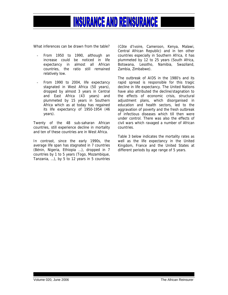

What inferences can be drawn from the table?

- From 1950 to 1990, although an increase could be noticed in life expectancy in almost all African countries, the ratio still remained relatively low.
- From 1990 to 2004, life expectancy stagnated in West Africa (50 years), dropped by almost 3 years in Central and East Africa (43 years) and plummeted by 15 years in Southern Africa which as at today has regained its life expectancy of 1950-1954 (46 years).

Twenty of the 48 sub-saharan African countries, still experience decline in mortality and ten of these countries are in West Africa.

In contrast, since the early 1990s, the average life span has stagnated in 7 countries (Bénin, Nigeria, Ethiopia …), dropped in 7 countries by 1 to 5 years (Togo, Mozambique, Tanzania, …), by 5 to 12 years in 5 countries (Côte d'Ivoire, Cameroon, Kenya, Malawi, Central African Republic) and in ten other countries especially in Southern Africa, it has plummeted by 12 to 25 years (South Africa, Botswana, Lesotho, Namibia, Swaziland, Zambia, Zimbabwe).

The outbreak of AIDS in the 1980's and its rapid spread is responsible for this tragic decline in life expectancy. The United Nations have also attributed the decline/stagnation to the effects of economic crisis, structural adjustment plans, which disorganised in education and health sectors, led to the aggravation of poverty and the fresh outbreak of infectious diseases which till then were under control. There was also the effects of civil wars which ravaged a number of African countries.

Table 3 below indicates the mortality rates as well as the life expectancy in the United Kingdom, France and the United States at different periods by age range of 5 years.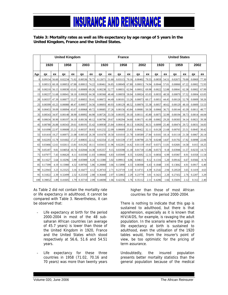#### **Table 3: Mortality rates as well as life expectancy by age range of 5 years in the United Kingdom, France and the United States.**

|          |               |       | <b>United Kingdom</b> |       |               |       | <b>France</b> |       |               |       | <b>United States</b> |       |        |       |              |       |        |       |
|----------|---------------|-------|-----------------------|-------|---------------|-------|---------------|-------|---------------|-------|----------------------|-------|--------|-------|--------------|-------|--------|-------|
|          | 1920          |       | 1958                  |       | 2003          |       | 1920          |       | 1958          |       | 2002                 |       | 1920   |       | 1959         |       | 2002   |       |
| Age      | qx            | ex    | qx                    | ex    | qx            | ex    | qx            | ex    | qX            | ex    | qx                   | ex    | qx     | ex    | $\mathbf{q}$ | ex    | qx     | ex    |
| $\Omega$ | 0.09154       | 56.60 | 0.02234               | 71.02 | 0.00536       | 78.73 | 0.12671       | 51.60 | 0.03115       | 70.16 | 0.00402              | 79.55 | 0.0859 | 54.51 | 0.02673      | 70.00 | 0.0069 | 77.30 |
| 5        | 0.00513       | 60.18 | 0.00053               | 67.88 | 0.00013 74.22 |       | 0.00461       | 56.85 | 0.00049       | 67.80 | 0.00013              | 74.94 | 0.0044 | 57.01 | 0.00060      | 67.22 | 0.0002 | 72.93 |
| 10       | 0.00210 56.15 |       | 0.00030               | 63.01 | 0.00009       | 69.26 | 0.00238       | 52.77 | 0.00031       | 62.94 | 0.00012              | 69.98 | 0.0022 | 52.88 | 0.00041      | 62.38 | 0.0002 | 67.99 |
| 15       | 0.00237 51.68 |       | 0.00041               | 58.10 | 0.00020       | 64.30 | 0.00368       | 48.40 | 0.00059       | 58.04 | 0.00024              | 65.03 | 0.0033 | 48.50 | 0.00070      | 57.52 | 0.0004 | 63.05 |
| 20       | 0.00337       | 47.39 | 0.00077               | 53.27 | 0.00055 59.41 |       | 0.00672       | 44.49 | 0.00101       | 53.26 | 0.00073              | 60.17 | 0.0051 | 44.45 | 0.00126      | 52.78 | 0.0009 | 58.26 |
| 25       | 0.00399 43.23 |       | 0.00080               | 48.47 | 0.00057 54.56 |       | 0.00693       | 40.93 | 0.00129       | 48.52 | 0.00076              | 55.38 | 0.0057 | 40.62 | 0.00129      | 48.10 | 0.0009 | 53.53 |
| 30       | 0.00453 39.09 |       | 0.00094 43.67         |       | 0.00068 49.72 |       | 0.00685       | 37.26 | 0.00156       | 43.84 | 0.00081              | 50.58 | 0.0066 | 36.75 | 0.00144      | 43.39 | 0.0011 | 48.77 |
| 35       | 0.00543 34.97 |       | 0.00140 38.90         |       | 0.00092       | 44.90 | 0.00726       | 33.50 | 0.00195       | 39.18 | 0.00111              | 45.80 | 0.0075 | 32.99 | 0.00194      | 38.73 | 0.0014 | 44.04 |
| 40       | 0.00634       | 30.90 | 0.00197               | 34.19 | 0.00136       | 40.12 | 0.00796       | 29.67 | 0.00294       | 34.60 | 0.00175              | 41.09 | 0.0082 | 29.20 | 0.00303      | 34.14 | 0.0021 | 39.38 |
| 45       | 0.00780 26.88 |       | 0.00343               | 29.61 | 0.00191       | 35.42 | 0.00938       | 25.84 | 0.00414       | 30.13 | 0.00292              | 36.51 | 0.0099 | 25.40 | 0.00474      | 29.72 | 0.0031 | 34.83 |
| 50       | 0.01098       | 22.97 | 0.00608               | 25.21 | 0.00337       | 30.83 | 0.01232       | 22.09 | 0.00689       | 25.83 | 0.00422              | 32.11 | 0.0128 | 21.68 | 0.00765      | 25.51 | 0.0045 | 30.42 |
| 55       | 0.01410 19.27 |       | 0.00975               | 21.08 | 0.00510       | 26.39 | 0.01678       | 18.50 | 0.01010       | 21.78 | 0.00589              | 27.84 | 0.0181 | 18.14 | 0.01118      | 21.58 | 0.0067 | 26.14 |
| 60       | 0.02293       | 15.78 | 0.01602               | 17.27 | 0.00835       | 22.12 | 0.02354       | 15.10 | 0.01539       | 17.97 | 0.00790              | 23.70 | 0.0248 | 14.87 | 0.01702      | 17.92 | 0.0098 | 22.06 |
| 65       | 0.03466 12.61 |       | 0.02611               | 13.81 | 0.01292       | 18.11 | 0.03415       | 11.96 | 0.02281       | 14.42 | 0.01119              | 19.67 | 0.0371 | 11.81 | 0.02681      | 14.58 | 0.015  | 18.25 |
| 70       | 0.05187       | 9.81  | 0.04054 10.74         |       | 0.02044 14.38 |       | 0.05357       | 9.15  | 0.03598 11.18 |       | 0.01718              | 15.86 | 0.0573 | 9.18  | 0.03946      | 11.57 | 0.0233 | 14.73 |
| 75       | 0.07977       | 7.43  | 0.06620               | 8.11  | 0.03590       | 11.03 | 0.08666       | 6.83  | 0.05949       | 8.35  | 0.02692              | 12.31 | 0.0856 | 6.99  | 0.05967      | 8.91  | 0.0358 | 11.54 |
| 80       | 0.11627       | 5.64  | 0.10296               | 5.99  | 0.05989       | 8.20  | 0.13380       | 5.02  | 0.09913       | 6.06  | 0.04615              | 9.12  | 0.1316 | 5.20  | 0.09142      | 6.67  | 0.0566 | 8.74  |
| 85       | 0.17399       | 4.19  | 0.15980               | 4.32  | 0.09766       | 5.86  | 0.20088       | 3.66  | 0.15898       | 4.33  | 0.08308              | 6.43  | 0.1848 | 3.95  | 0.13842      | 4.91  | 0.0917 | 6.40  |
| 90       | 0.22943       | 3.23  | 0.23325               | 3.16  | 0.16477       | 4.12  | 0.28743       | 2.71  | 0.23719       | 3.10  | 0.14715              | 4.39  | 0.2542 | 2.94  | 0.20520      | 3.65  | 0.1419 | 4.63  |
| 95       | 0.31822       | 2.39  | 0.32499               | 2.32  | 0.25359       | 2.88  | 0.36448       | 2.07  | 0.32863       | 2.29  | 0.23779              | 3.01  | 0.3421 | 2.20  | 0.27432      | 2.76  | 0.2207 | 3.29  |
| 100      | 0.39852       | 1.89  | 0.41605               | 1.79  | 0.35710       | 2.09  | 0.44698       | 1.66  | 0.42236       | 1.76  | 0.35112              | 2.11  | 0.4286 | 1.66  | 0.35691      | 2.12  | 0.312  | 2.40  |

As Table 2 did not contain the mortality rate or life expectancy in adulthood, it cannot be compared with Table 3. Nevertheless, it can be observed that:

- Life expectancy at birth for the period 2000-2004 in most of the 48 subsaharan African countries (an average of 45.7 years) is lower than those of the United Kingdom in 1920, France and the United States which stood respectively at 56.6, 51.6 and 54.51 years.
- Life expectancy for these three countries in 1958 (71.02, 70.16 and 70 years) was more than twenty years

higher than those of most African countries for the period 2000-2004.

There is nothing to indicate that this gap is sustained to adulthood, but there is that apprehension, especially as it is known that HIV/AIDS, for example, is ravaging the adult population. In the scenario where the gap in life expectancy at birth is sustained to adulthood, even the utilisation of the 1920 tables would, from the insurer's point of view, be too optimistic for the pricing of term assurance.

Undoubtedly, the insured population presents better mortality statistics than the general population because of the medical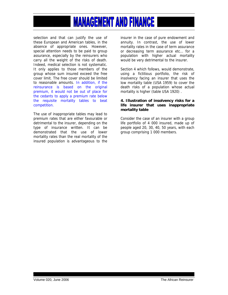selection and that can justify the use of these European and American tables, in the absence of appropriate ones. However, special attention needs to be paid to group assurance, especially by the reinsurers who carry all the weight of the risks of death. Indeed, medical selection is not systematic. It only applies to those members of the group whose sum insured exceed the free cover limit. The free cover should be limited to reasonable amounts. In addition, if the reinsurance is based on the original premium, it would not be out of place for the cedants to apply a premium rate below the requisite mortality tables to beat competition.

The use of inappropriate tables may lead to premium rates that are either favourable or detrimental to the insurer, depending on the type of insurance written. It can be demonstrated that the use of lower mortality rates than the real mortality of the insured population is advantageous to the

insurer in the case of pure endowment and annuity. In contrast, the use of lower mortality rates in the case of term assurance or decreasing term assurance etc… for a population with higher actual mortality would be very detrimental to the insurer.

Section 4 which follows, would demonstrate, using a fictitious portfolio, the risk of insolvency facing an insurer that uses the low mortality table (USA 1959) to cover the death risks of a population whose actual mortality is higher (table USA 1920) .

#### **4. Illustration of insolvency risks for a life insurer that uses inappropriate mortality table**

Consider the case of an insurer with a group life portfolio of 4 000 insured, made up of people aged 20, 30, 40, 50 years, with each group comprising 1 000 members.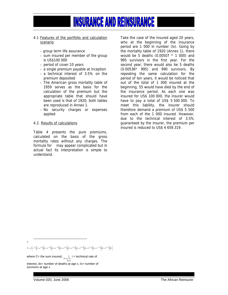#### 4.1 Features of the portfolio and calculation scenario

- group term life assurance
- sum insured per member of the group is US\$100 000
- period of cover:10 years
- a single premium payable at inception
- a technical interest of 3.5% on the premium deposited
- The American gross mortality table of 1959 serves as the basis for the calculation of the premium but the appropriate table that should have been used is that of 1920; both tables are reproduced in Annex 1.
- No security charges or expenses applied

#### 4.2. Results of calculations

Table 4 presents the pure premiums, calculated on the basis of the gross mortality rates without any charges. The formula for may appear complicated but in actual fact its interpretation is simple to understand.

Take the case of the insured aged 20 years, who at the beginning of the insurance period are 1 000 in number (lx). Going by the mortality table of 1920 (Annex 1), there would be 5 deaths (0.00507 \* 1 000) and 995 survivors in the first year. For the second year, there would also be 5 deaths (0.00536\* 995) and 990 survivors. By repeating the same calculation for the period of ten years, it would be noticed that out of the total of 1 000 insured at the beginning, 55 would have died by the end of the insurance period. As each one was insured for US\$ 100 000, the insurer would have to pay a total of US\$ 5 500 000. To meet this liability, the insurer should therefore demand a premium of US\$ 5 500 from each of the 1 000 insured. However, due to the technical interest of 3.5% guaranteed by the insurer, the premium per insured is reduced to US\$ 4 659.319.

 $P = C \Bigg( \nu^{1/2} \frac{d_{s}}{l_{x}} + \nu^{3/2} \frac{d_{s+1}}{l_{x}} + \nu^{5/2} \frac{d_{s+2}}{l_{x}} + \nu^{7/2} \frac{d_{s+3}}{l_{x}} + \nu^{9/2} \frac{d_{s+4}}{l_{x}} + \nu^{11/2} \frac{d_{s+5}}{l_{x}} + \nu^{13/2} \frac{d_{s+6}}{l_{x}} + \nu^{15/2} \frac{d_{s+7}}{l_{x}} + \nu^{17/2} \frac{d_{s+8}}{l_{x}} + \nu^{19/2} \frac{d_{$ 

where C= the sum insured,  $v = \frac{1}{1+i}$  i = technical rate of interest, dx= number of deaths at age x, lx= number of survivors at age x

Volume 020, June 2006 The African Reinsurer

 $\frac{1}{2}$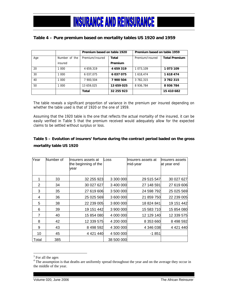#### **Table 4 – Pure premium based on mortality tables US 1920 and 1959**

|     |               | Premium based on table 1920 |            | Premium based on table 1959 |                      |  |
|-----|---------------|-----------------------------|------------|-----------------------------|----------------------|--|
| Age | Number of the | Premium/Insured             | Total      | Premium/Insured             | <b>Total Premium</b> |  |
|     | insured       |                             | Premium    |                             |                      |  |
| 20  | 1 000         | 4 659,319                   | 4 659 319  | 1 073.109                   | 1073109              |  |
| 30  | 1 000         | 6 037 075                   | 6 037 075  | 1 618.474                   | 1618474              |  |
| 40  | 1 000         | 7 900.504                   | 7 900 504  | 3 782.315                   | 3782315              |  |
| 50  | 1 000         | 13 659.025                  | 13 659 025 | 8 936.784                   | 8936784              |  |
|     |               | Total                       | 32 255 923 |                             | 15 410 682           |  |

The table reveals a significant proportion of variance in the premium per insured depending on whether the table used is that of 1920 or the one of 1959.

Assuming that the 1920 table is the one that reflects the actual mortality of the insured, it can be easily verified in Table 5 that the premium received would adequately allow for the expected claims to be settled without surplus or loss.

#### **Table 5 – Evolution of insurers' fortune during the contract period baded on the gross mortality table US 1920**

| Year  | Number of | llnsurers assets at<br>the beginning of the<br>vear | Loss       | llnsurers assets at<br>mid-year | llnsurers assets<br>at year end |
|-------|-----------|-----------------------------------------------------|------------|---------------------------------|---------------------------------|
| 1     | 33        | 32 255 923                                          | 3 300 000  | 29 515 547                      | 30 027 627                      |
| 2     | 34        | 30 027 627                                          | 3 400 000  | 27 148 591                      | 27 619 606                      |
| 3     | 35        | 27 619 606                                          | 3 500 000  | 24 598 792                      | 25 025 569                      |
| 4     | 36        | 25 025 569                                          | 3 600 000  | 21 859 750                      | 22 239 005                      |
| 5     | 38        | 22 239 005                                          | 3 800 000  | 18 824 841                      | 19 151 442                      |
| 6     | 39        | 19 151 442                                          | 3 900 000  | 15 583 710                      | 15 854 080                      |
| 7     | 40        | 15 854 080                                          | 4 000 000  | 12 129 140                      | 12 339 575                      |
| 8     | 42        | 12 339 575                                          | 4 200 000  | 8 353 660                       | 8 498 592                       |
| 9     | 43        | 8 498 592                                           | 4 300 000  | 4 346 038                       | 4 4 21 4 4 0                    |
| 10    | 45        | 4 4 21 4 4 0                                        | 4 500 000  | -1 851                          |                                 |
| Total | 385       |                                                     | 38 500 000 |                                 |                                 |

<sup>&</sup>lt;sup>3</sup> For all the ages

 $\overline{a}$ 

<sup>&</sup>lt;sup>4</sup> The assumption is that deaths are uniformly spread throughout the year and on the average they occur in the middle of the year.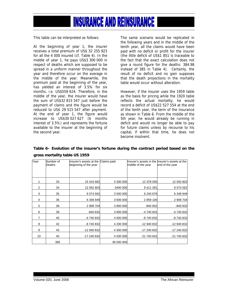This table can be interpreted as follows:

At the beginning of year 1, the insurer receives a total premium of US\$ 32 255 923 for all the 4 000 insured (cf. Table 4). In the middle of year 1, he pays US\$3 300 000 in respect of deaths which are supposed to be spread in a uniform manner throughout the year and therefore occur on the average in the middle of the year. Meanwhile, the premium paid at the beginning of the year, has yielded an interest of 3.5% for six months, i.e. US\$559 624. Therefore, in the middle of the year, the insurer would have the sum of US\$32 815 547 just before the payment of claims and the figure would be reduced to US\$ 29 515 547 after payment. At the end of year 1, the figure would increase to US\$30 027 627 (6 months interest of 3.5%) and represents the fortune available to the insurer at the beginning of the second year.

The same scenario would be replicated in the following years and in the middle of the tenth year, all the claims would have been paid with no deficit or profit for the insurer (the little deficit of US\$1 851 is traceable to the fact that the exact calculation does not give a round figure for the deaths: 384.98 instead of 385 in Table 4). Certainly, the result of no deficit and no gain supposes that the death projections in the mortality table would occur without alteration.

However, if the insurer uses the 1959 table as the basis for pricing while the 1920 table reflects the actual mortality, he would record a deficit of US\$22 527 554 at the end of the tenth year, the term of the insurance as shown in Table 6. From the middle of the 5th year, he would already be running in deficit and would no longer be able to pay for future claims unless by recourse to his capital, if within that time, he does not become insolvent.

| Table 6– Evolution of the insurer's fortune during the contract period based on the |  |  |  |  |  |
|-------------------------------------------------------------------------------------|--|--|--|--|--|
| gross mortality table US 1959                                                       |  |  |  |  |  |

| Year             | Number of<br>Deaths | Insurer's assets at the Claims paid<br>beginning of the year |            | middle of the year | Insurer's assets in the linsurer's assets at the<br>end of the year |
|------------------|---------------------|--------------------------------------------------------------|------------|--------------------|---------------------------------------------------------------------|
|                  |                     |                                                              |            |                    |                                                                     |
|                  |                     |                                                              |            |                    |                                                                     |
| 1                | 33                  | 15 410 682                                                   | 3 300 000  | 12 378 050         | 12 592 803                                                          |
| 2                | 34                  | 12 592 803                                                   | 3400 000   | 9 411 281          | 9 574 562                                                           |
| 3                | 35                  | 9 574 562                                                    | 3 500 000  | 6 240 676          | 6 348 949                                                           |
| 4                | 36                  | 6 348 949                                                    | 3 600 000  | 2 859 100          | 2 908 704                                                           |
| 5                | 38                  | 2 908 704                                                    | 3 800 000  | -840 832           | -840 832                                                            |
| 6                | 39                  | -840 832                                                     | 3 900 000  | -4 740 832         | -4 740 832                                                          |
| 7                | 40                  | -4 740 832                                                   | 4 000 000  | -8 740 832         | -8 740 832                                                          |
| 8                | 42                  | -8740832                                                     | 4 200 000  | -12 940 832        | -12 940 832                                                         |
| 9                | 43                  | -12 940 832                                                  | 4 300 000  | -17 240 832        | -17 240 832                                                         |
| 10 <sup>10</sup> | 45                  | -17 240 832                                                  | 4 500 000  | -21 740 832        | -21 740 832                                                         |
|                  | 385                 |                                                              | 38 500 000 |                    |                                                                     |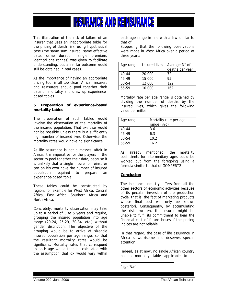This illustration of the risk of failure of an insurer that uses an inappropriate table for the pricing of death risk, using hypothetical case (the same sum insured, same effective date, same duration, single premium, identical age ranges) was given to facilitate understanding, but a similar outcome would still be obtained in real cases.

As the importance of having an appropriate pricing tool is all too clear, African insurers and reinsurers should pool together their data on mortality and draw up experiencebased tables.

#### **5. Preparation of experience-based mortality tables**

The preparation of such tables would involve the observation of the mortality of the insured population. That exercise would not be possible unless there is a sufficiently high number of insured lives. Otherwise, the mortality rates would have no significance.

As life assurance is not a masses' affair in Africa, it is imperative for the players in the sector to pool together their data, because it is unlikely that a single insurer or reinsurer can on his own have the number of insured population required to prepare an experience-based table.

These tables could be constructed by region, for example for West Africa, Central Africa, East Africa, Southern Africa and North Africa.

Concretely, mortality observation may take up to a period of 3 to 5 years and require, grouping the insured population into age range (20-24, 25-29, 30-34, etc.) without gender distinction. The objective of the grouping would be to arrive at sizeable insured population per age range, so that the resultant mortality rates would be significant. Mortality rates that correspond to each age would then be calculated with the assumption that qx would vary within

each age range in line with a law similar to that of  $\mathbb{R}$ 

Supposing that the following observations were made in West Africa over a period of three years:

| Age range | Insured lives | Average N° of   |
|-----------|---------------|-----------------|
|           |               | deaths per year |
| $40 - 44$ | 20 000        | 72              |
| 45-49     | 15 000        | 95              |
| 50-54     | 12 000        | 122             |
| 55-59     | 10.000        | 162             |

Mortality rate per age range is obtained by dividing the number of deaths by the insured lives, which gives the following value per mille:

| Age range | Mortality rate per age<br>range (%o) |
|-----------|--------------------------------------|
| $40 - 44$ | 3.6                                  |
| 45-49     | 6.3                                  |
| 50-54     | 10.2                                 |
| 55-59     | 16.2                                 |

As already mentioned, the mortality coefficients for intermediary ages could be worked out from the foregoing using a formula similar to that of GOMPERTZ.

#### **Conclusion**

The insurance industry differs from all the other sectors of economic activities because of its peculiar inversion of the production cycle, that is, the fact of marketing products whose final cost will only be known posteriori. Consequently, by accumulating the risks written, the insurer might be unable to fulfil its commitment to bear the financial cost of future losses if the pricing indices are not reliable.

In that regard, the case of life assurance in Africa is worrisome and deserves special attention.

Indeed, as at now, no single African country has a mortality table applicable to its

 $\overline{a}$  $^{5}$  q<sub>x</sub> = B.c<sup>x</sup>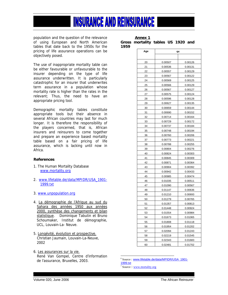population and the question of the relevance of using European and North American tables that date back to the 1950s for the pricing of life assurance operations can be objectively posed.

The use of inappropriate mortality table can be either favourable or unfavourable to the insurer depending on the type of life assurance underwritten. It is particularly catastrophic for an insurer that underwrites term assurance in a population whose mortality rate is higher than the rates in the relevant; Thus, the need to have an appropriate pricing tool.

Demographic mortality tables constitute appropriate tools but their absence in several African countries may last for much longer. It is therefore the responsibility of the players concerned, that is, African insurers and reinsurers to come together and prepare an experience based mortality table based on a fair pricing of life assurance, which is lacking until now in Africa.

#### **References**

- 1. The Human Mortality Database www.mortality.org
- 2. www.lifetable.de/data/MPIDR/USA\_1901-1999.txt
- 3. www.unpopulation.org
- 4. La démographie de l'Afrique au sud du Sahara des années 1950 aux années 2000, synthèse des changements et bilan statistique. Dominique Tabutin et Bruno Schoumaker, Institut de démographie, UCL, Louvain-La- Neuve.
- 5. Longévité, évolution et prospective. Christian Jaumain, Louvain-La-Neuve, 2002
- 6. Les assurances sur la vie. René Van Gompel, Centre d'information de l'assurance, Bruxelles, 2003.

|      | <b>Annex 1</b>                     |  |  |
|------|------------------------------------|--|--|
|      | Gross mortality tables US 1920 and |  |  |
| 1959 |                                    |  |  |

| Age | qx      |         |  |
|-----|---------|---------|--|
|     |         |         |  |
| 20  | 0.00507 | 0.00126 |  |
| 21  | 0.00536 | 0.00131 |  |
| 22  | 0.00557 | 0.00129 |  |
| 23  | 0.00567 | 0.00122 |  |
| 24  | 0.00569 | 0.00125 |  |
| 25  | 0.00566 | 0.00129 |  |
| 26  | 0.00567 | 0.00127 |  |
| 27  | 0.00575 | 0.00124 |  |
| 28  | 0.00596 | 0.00128 |  |
| 29  | 0.00627 | 0.00135 |  |
| 30  | 0.00659 | 0.00144 |  |
| 31  | 0.00690 | 0.00152 |  |
| 32  | 0.00714 | 0.00164 |  |
| 33  | 0.00729 | 0.00172 |  |
| 34  | 0.00737 | 0.00184 |  |
| 35  | 0.00748 | 0.00194 |  |
| 36  | 0.00760 | 0.00206 |  |
| 37  | 0.00773 | 0.00221 |  |
| 38  | 0.00788 | 0.00255 |  |
| 39  | 0.00804 | 0.00276 |  |
| 40  | 0.00824 | 0.00303 |  |
| 41  | 0.00845 | 0.00309 |  |
| 42  | 0.00871 | 0.00364 |  |
| 43  | 0.00904 | 0.00392 |  |
| 44  | 0.00942 | 0.00433 |  |
| 45  | 0.00985 | 0.00474 |  |
| 46  | 0.01035 | 0.00511 |  |
| 47  | 0.01090 | 0.00567 |  |
| 48  | 0.01147 | 0.00636 |  |
| 49  | 0.01210 | 0.00693 |  |
| 50  | 0.01279 | 0.00765 |  |
| 51  | 0.01357 | 0.00813 |  |
| 52  | 0.01448 | 0.00924 |  |
| 53  | 0.01554 | 0.00984 |  |
| 54  | 0.01673 | 0.01065 |  |
| 55  | 0.01808 | 0.01118 |  |
| 56  | 0.01954 | 0.01202 |  |
| 57  | 0.02094 | 0.01243 |  |
| 58  | 0.02219 | 0.01545 |  |
| 59  | 0.02343 | 0.01683 |  |
| 60  | 0.02481 | 0.01702 |  |

 $\overline{a}$ 6 Source : www.lifetable.de/data/MPIDR/USA\_1901-

1999.txt

<sup>7</sup> Source : <u>www.mortality.org</u>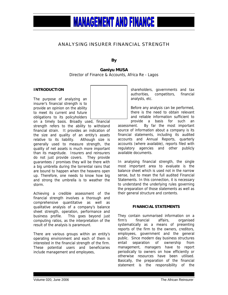#### ANALYSING INSURER FINANCIAL STRENGTH

**By** 

**Ganiyu MUSA** Director of Finance & Accounts, Africa Re - Lagos

#### **INTRODUCTION**

The purpose of analyzing an insurer's financial strength is to provide an opinion on the ability to meet its current and future obligations to its policyholders

on a timely basis. Broadly used, financial strength refers to the ability to withstand financial strain. It provides an indication of the size and quality of an entity's assets relative to its liability. Although size is generally used to measure strength, the quality of net assets is much more important than its magnitude. Insurers and reinsurers do not just provide covers. They provide guarantees / promises they will be there with a big umbrella during the torrential rains that are bound to happen when the heavens open up. Therefore, one needs to know how big and strong the umbrella is to weather the storm.

Achieving a credible assessment of the financial strength involves a thorough and comprehensive quantitative as well as qualitative analysis of a company's balance sheet strength, operation, performance and business profile. This goes beyond just computing ratios, as the interpretation of the result of the analysis is paramount.

There are various groups within an entity's operating environment and each of them is interested in the financial strength of the firm. These potential users and beneficiaries include management and employees,

shareholders, governments and tax authorities, competitors, financial analysts, etc.

Before any analysis can be performed, there is the need to obtain relevant and reliable information sufficient to

provide a basis for such an assessment. By far the most important source of information about a company is its financial statements, including its audited accounts and Annual Reports, quarterly accounts (where available), reports filed with regulatory agencies and other publicly available documents.

In analysing financial strength, the single most important area to evaluate is the balance sheet which is used not in the narrow sense, but to mean the full audited Financial Statements. In this connection, it is necessary to understand the underlying rules governing the preparation of those statements as well as their general structure and contents.

#### **FINANCIAL STATEMENTS**

They contain summarised information on a firm's financial affairs, organised systematically as a means of presenting reports of the firm to the owners, creditors, employees, government and the general public. Since modern day business structures entail separation of ownership from management, managers have to report periodically to owners on how efficiently or otherwise resources have been utilised. Basically, the preparation of the financial statement is the responsibility of the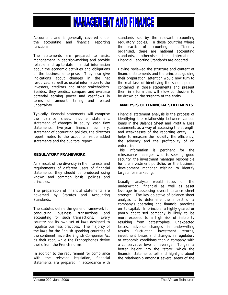Accountant and is generally covered under the accounting and financial reporting functions.

The statements are prepared to assist management in decision-making and provide reliable and up-to-date financial information about the economic activities and obligations of the business enterprise. They also give indications about changes in the net resources, as well as useful information to the investors, creditors and other stakeholders. Besides, they predict, compare and evaluate potential earning power and cashflows in terms of amount, timing and related uncertainty.

Typically, financial statements will comprise the balance sheet, income statement, statement of changes in equity, cash flow statements, five-year financial summary, statement of accounting policies, the directors report, notes to the accounts, value added statements and the auditors' report.

#### **REGULATORY FRAMEWORK**

As a result of the diversity in the interests and requirements of different users of financial statements, they should be produced using known and common basis, policies and principles.

The preparation of financial statements are governed by Statutes and Accounting Standards.

The statutes define the generic framework for conducting business transactions and accounting for such transactions. Every country has its own set of laws designed to regulate business practices. The majority of the laws for the English speaking countries of the continent have the English Companies Act as their root, while the Francophones derive theirs from the French norms.

In addition to the requirement for compliance with the relevant legislation, financial statements are prepared in accordance with standards set by the relevant accounting regulatory bodies. In those countries where the practice of accounting is sufficiently organised, there are national accounting<br>standards, otherwise the International standards, otherwise the International Financial Reporting Standards are adopted.

Having reviewed the structure and content of financial statements and the principles guiding their preparation, attention would now turn to the real task of identifying the salient points contained in those statements and present them in a form that will allow conclusions to be drawn on the strength of the entity.

#### **ANALYSIS OF FINANCIAL STATEMENTS**

Financial statement analysis is the process of identifying the relationship between various items in the Balance Sheet and Profit & Loss statements as a way of assessing the strength and weaknesses of the reporting entity. It helps to measure the liquidity, the efficiency, the solvency and the profitability of an enterprise.

This information is pertinent for the reinsurance manager who is seeking good security, the investment manager responsible for the investment portfolio, or the business development manager wishing to identify targets for marketing.

Usually, analysts would focus on the underwriting, financial as well as asset leverage in assessing overall balance sheet strength. The key objective of balance sheet analysis is to determine the impact of a company's operating and financial practices on its capital. In principle, a highly geared or poorly capitalised company is likely to be more exposed to a high risk of instability resulting from catastrophes, unexpected losses, adverse changes in underwriting results, fluctuating investment returns, investment losses and changes in regulatory or economic conditions than a company with a conservative level of leverage. To gain a better insight into the "story" which the financial statements tell and highlight about the relationship amongst several areas of the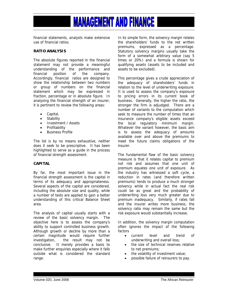financial statements, analysts make extensive use of financial ratios.

#### **RATIO ANALYSIS**

The absolute figures reported in the financial statement may not provide a meaningful understanding of the performance and financial position of the company. Accordingly, financial ratios are designed to show the relationship between two numbers or group of numbers on the financial statement which may be expressed in fraction, percentage or in absolute figure. In analyzing the financial strength of an insurer, it is pertinent to review the following areas:

- Capital,
- Stability
- Investment / Assets
- Profitability
- Business Profile

The list is by no means exhaustive, neither does it seek to be prescriptive. It has been highlighted to serve as a guide in the process of financial strength assessment.

#### **CAPITAL**

By far, the most important issue in the financial strength assessment is the capital in terms of its adequacy and appropriateness. Several aspects of the capital are considered, including the absolute size and quality, while a number of tests are applied to gain a better understanding of this critical Balance Sheet area.

The analysis of capital usually starts with a review of the basic solvency margin. The objective here is to assess the company's ability to support controlled business growth. Although growth or decline by more than a certain magnitude would require further investigation, the result may not be conclusive. It merely provides a basis to make further enquiries especially where it falls outside what is considered the standard range.

In its simple form, the solvency margin relates the shareholders' funds to the net written premiums, expressed as a percentage. Statutory solvency margins usually take the form of a somewhat arbitrary value (say 5 times or 20%) and a formula is shown for qualifying assets (assets to be included and assets to be excluded).

This percentage gives a crude appreciation of the adequacy of shareholders' funds in relation to the level of underwriting exposure. It is used to assess the company's exposure to pricing errors in its current book of business. Generally, the higher the ratio, the stronger the firm is adjudged. There are a number of variants to the computation which seek to measure the number of times that an insurance company's eligible assets exceed the local regulatory minimum margin. Whatever the variant however, the basic aim is to assess the adequacy of amounts available over and above the premiums to meet the future claims obligations of the insurer.

The fundamental flaw of the basic solvency measure is that it relates capital to premium not risk and assumes that one unit of premium equates one unit of exposure. As the industry has witnessed a soft cycle, a reduction in rates (and therefore written premiums) tends to produce a much stronger solvency while in actual fact the real risk could be as great and the probability of underwriting loss very much greater due to premium inadequacy. Similarly, if rates fall and the insurer writes more business, the solvency ratio may remain the same but the risk exposure would substantially increase.

In addition, the solvency margin computation often ignores the impact of the following factors

- current level and trend of underwriting and overall loss;
- the size of technical reserves relative to net premiums;
- the volatility of investment value;
- possible failure of reinsurers to pay.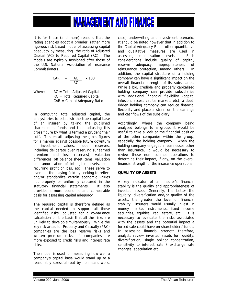It is for these (and more) reasons that the rating agencies adopt a broader, rather more rigorous risk-based model of assessing capital adequacy by measuring the ratio of Adjusted Capital (AC) to Required Capital (RC). The models are typically fashioned after those of the U.S. National Association of Insurance **Commissioners** 

$$
CAR = \frac{AC}{RC} \times 100
$$

Where:  $AC = Total Adjusted Capital$  RC = Total Required Capital CAR = Capital Adequacy Ratio

In computing total adjusted capital, the analyst tries to establish the true capital base of an insurer by taking the published shareholders' funds and then adjusting this gross figure by what is termed a prudent "hair cut". This entails adjusting the gross figures for a margin against possible future downturn in investment values, hidden reserves, including deliberate over reserving (unearned premium and loss reserves), valuation differences, off balance sheet items, valuation and amortisation of intangible assets, nonrecurring profit or loss, etc. These serve to even out the playing field by seeking to reflect and/or standardize certain economic values not properly or uniformly captured in the statutory financial statements. It also provides a more economic and comparable basis for assessing capital adequacy.

The required capital is therefore defined as the capital needed to support all those identified risks, adjusted for a co-variance calculation on the basis that all the risks are unlikely to develop simultaneously. While the key risk areas for Property and Casualty (P&C) companies are the loss reserve risks and written premium risks, life companies are more exposed to credit risks and interest rate risks.

The model is used for measuring how well a company's capital base would stand up to a reasonably stressful (but by no means worst case) underwriting and investment scenario. It should be noted however that in addition to the Capital Adequacy Ratio, other quantitative and qualitative measures are used in assessing capitalisation levels. Such considerations include quality of capital, reserve adequacy, appropriateness of reinsurance protection, among others. In addition, the capital structure of a holding company can have a significant impact on the overall financial strength of its subsidiaries. While a big, credible and properly capitalised holding company can provide subsidiaries with additional financial flexibility (capital infusion, access capital markets etc), a debtridden holding company can reduce financial flexibility and place a strain on the earnings and cashflows of the subsidiary.

Accordingly, where the company being analysed belongs to a group, it would be useful to take a look at the financial position of the other companies within the group, especially the holding company. When the holding company engages in businesses other than insurance, it would be necessary to review those non-insurance operations to determine their impact, if any, on the overall financial strength of the insurance operations.

#### **QUALITY OF ASSETS**

A key indicator of an insurer's financial stability is the quality and appropriateness of invested assets. Generally, the better the liquidity, diversification and/or quality of the assets, the greater the level of financial stability. Insurers would usually invest in money market instruments, fixed income securities, equities, real estate, etc. It is necessary to evaluate the risks associated with the assets and the potential impact a forced sale could have on shareholders' funds. In assessing financial strength therefore, analysts review invested assets for liquidity, diversification, single obligor concentration, sensitivity to interest rate / exchange rate changes, speculation etc.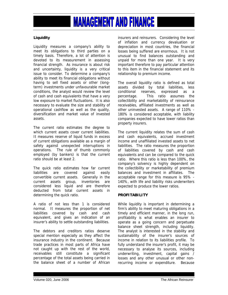#### **Liquidity**

Liquidity measures a company's ability to meet its obligations to third parties on a timely basis. Therefore, a lot of attention is devoted to its measurement in assessing financial strength. As insurance is about risk and uncertainty, liquidity is a very critical issue to consider. To determine a company's ability to meet its financial obligations without having to sell fixed assets or other (longterm) investments under unfavourable market conditions, the analyst would review the level of cash and cash equivalents that have a very low exposure to market fluctuations. It is also necessary to evaluate the size and stability of operational cashflow as well as the quality, diversification and market value of invested assets.

The current ratio estimates the degree to which current assets cover current liabilities. It measures reserve of liquid funds in excess of current obligations available as a margin of safety against unexpected interruptions in operations. The rule of thumb commonly employed (by bankers) is that the current ratio should be at least 2.

The quick ratio estimates how far current liabilities are covered against easily convertible current assets. Generally in the current assets group, inventories are considered less liquid and are therefore deducted from total current assets in determining the quick ratio.

A ratio of not less than 1 is considered normal. It measures the proportion of net liabilities covered by cash and cash equivalent, and gives an indication of an insurer's ability to settle outstanding liabilities.

The debtors and creditors ratios deserve special mention especially as they affect the insurance industry in the continent. Because trade practices in most parts of Africa have not caught up with the rest of the world, receivables still constitute a significant percentage of the total assets being carried in the balance sheet of a number of African insurers and reinsurers. Considering the level of inflation and currency devaluation or depreciation in most countries, the financial losses being suffered are enormous. It is not unusual to find balances outstanding and unpaid for more than one year. It is very important therefore to pay particular attention to this item in the financial statement and its relationship to premium income.

The overall liquidity ratio is defined as total assets divided by total liabilities, less conditional reserves, expressed as a percentage. This ratio assumes the collectibility and marketability of reinsurance receivables, affiliated investments as well as other uninvested assets. A range of 110% - 180% is considered acceptable, with liability companies expected to have lower ratios than property insurers.

The current liquidity relates the sum of cash and cash equivalents, accrued investment income and unaffiliated invested assets to net liabilities. The ratio measures the proportion of liabilities covered by cash and cash equivalents and can be compared to the quick ratio. Where this ratio is less than 100%, the company's solvency is highly dependent on the collectibility or marketability of premium balances and investment in affiliates. The acceptable range for this measure is 95% - 140%, with life and liability risks underwriters expected to produce the lower ratios.

#### **PROFITABILITY**

While liquidity is important in determining a firm's ability to meet maturing obligations in a timely and efficient manner, in the long run, profitability is what enables an insurer to operate as a going concern and perpetuate balance sheet strength, including liquidity. The analyst is interested in the stability and sustainability of the insurer's sources of income in relation to its liabilities profile. To fully understand the insurer's profit, it may be necessary to analyse its sources, including underwriting, investment, capital gains / losses and any other unusual or other nonrecurring income or expenditure. Because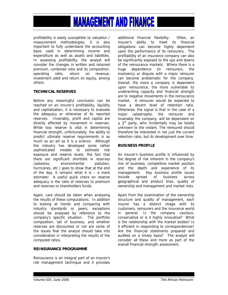profitability is easily susceptible to valuation / measurement methodologies, it is also important to fully understand the accounting basis used in determining income and expenditure as well as assets and liabilities. In assessing profitability, the analyst will consider the changes in written and retained premium, combined ratio and its composition, operating ratio, return on revenue, investment yield and return on equity, among others.

#### **TECHNICAL RESERVES**

Before any meaningful conclusion can be reached on an insurer's profitability, liquidity and capitalisation, it is necessary to evaluate the adequacy or otherwise of its reported reserves. Invariably, profit and capital are directly affected by movement in reserves. While loss reserve is vital in determining financial strength, unfortunately, the ability to predict ultimate reserve requirements is as much as an art as it is a science. Although the industry has developed some rather sophisticated models to estimate risk exposure and reserve levels, the fact that there are significant shortfalls in reserves (asbestos, environmental pollution, hurricanes, etc.) goes to show that at the end of the day, it remains what it is  $-$  a mere estimate! A useful quick check on reserve adequacy is the ratio of reserves to premium and reserves to shareholders funds.

Again, care should be taken when analysing the results of these computations. In addition to looking at trends and comparing with industry standards or peers, exceptions should be analysed by reference to the company's specific situation. The portfolio composition, tail of business, and whether reserves are discounted or not are some of the issues that the analyst should take into consideration in interpreting the results of the computed ratios.

#### **REINSURANCE PROGRAMME**

Reinsurance is an integral part of an insurer's risk management technique and it provides additional financial flexibility. Often, an insurer's ability to meet its financial obligations can become highly dependent upon the performance of its reinsurers. The profitability of an insurance company can also be significantly exposed to the ups and downs of the reinsurance markets. Where there is a huge dependence on reinsurers, the insolvency or dispute with a major reinsurer can become problematic for the company. Overall, the more a company is dependent upon reinsurance, the more vulnerable its underwriting capacity and financial strength are to negative movements in the reinsurance market. A reinsurer would be expected to have a decent level of retention ratio. Otherwise, the signal is that in the case of a major catastrophe, the reinsurer and invariably the company, will be dependent on a 3<sup>rd</sup> party, who incidentally may be totally unknown to the cedant. The reinsured should therefore be interested in not just the current retention ratio, but its development over time.

#### **BUSINESS PROFILE**

An insurer's business profile is influenced by the degree of risk inherent in the company's mix of business, competitive market position and the depth and experience of its management. Key business profile issues include spread of business across geographical and product lines, quality of ownership and management and market risks.

Apart from the examination of the ownership structure and quality of management, each insurer has a distinct image with its customers, reinsurers and the insurance world in general. Is the company cautious, conservative or is it highly innovative? What is the relationship with the market bodies? Is it efficient in responding to correspondences? Are the financial statements prepared and audited on a timely basis? The analyst will consider all these and more as part of the overall financial strength assessment.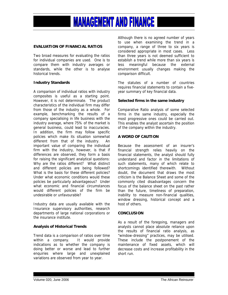

#### **EVALUATION OF FINANCIAL RATIOS**

Two broad measures for evaluating the ratios for individual companies are used. One is to compare them with industry averages or standards, while the other is to analyse historical trends.

#### **Industry Standards**

A comparison of individual ratios with industry composites is useful as a starting point. However, it is not determinate. The product characteristics of the individual firm may differ from those of the industry as a whole. For example, benchmarking the results of a company specialising in life business with the industry average, where 75% of the market is general business, could lead to inaccuracies. In addition, the firm may follow specific policies which make its situation somewhat different from that of the industry. An important value of comparing the individual firm with the industry, however, is that if differences are observed, they form a basis for raising the significant analytical questions: Why are the ratios different? What distinct and different policies are being followed? What is the basis for these different policies? Under what economic conditions would these policies be particularly advantageous? Under what economic and financial circumstances would different policies of the firm be undesirable or unfavourable?

Industry data are usually available with the Insurance supervisory authorities, research departments of large national corporations or the insurance institute.

#### **Analysis of Historical Trends**

Trend data is a comparison of ratios over time within a company. It would provide indications as to whether the company is doing better or worse and lead to further enquiries where large and unexplained variations are observed from year to year.

Although there is no agreed number of years to use when examining the trend in a company, a range of three to six years is considered appropriate in most cases. Less than three years is not deemed sufficient to establish a trend while more than six years is less meaningful because the external environment usually changes making the comparison difficult.

The statutes of a number of countries requires financial statements to contain a fiveyear summary of key financial data.

#### **Selected firms in the same industry**

Comparative Ratio analysis of some selected firms in the same industry, especially the most progressive ones could be carried out. This enables the analyst ascertain the position of the company within the industry.

#### **A WORD OF CAUTION**

Because the assessment of an insurer's financial strength relies heavily on the financial statements, the analyst should fully understand and factor in the limitations of such statements, many of which relate to shortcomings identified therewith. Without doubt, the document that draws the most criticism is the Balance Sheet and some of the commonly cited disadvantages concern the focus of the balance sheet on the past rather than the future, timeliness of preparation, inability to measure non-financial qualities, window dressing, historical concept and a host of others.

#### **CONCLUSION**

As a result of the foregoing, managers and analysts cannot place absolute reliance upon the results of financial ratio analysis, as "window-dressing" practices, may be utilised. These include the postponement of the maintenance of fixed assets, which will decrease costs and increase profitability in the short run.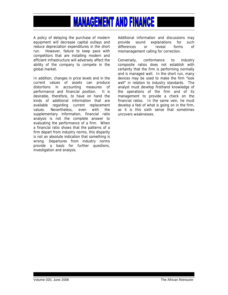A policy of delaying the purchase of modern equipment will decrease capital outlays and reduce depreciation expenditures in the short run. However, failure to keep pace with competitors that are installing modern and efficient infrastructure will adversely affect the ability of the company to compete in the global market.

In addition, changes in price levels and in the current values of assets can produce distortions in accounting measures of performance and financial position. It is desirable, therefore, to have on hand the kinds of additional information that are available regarding current replacement values. Nevertheless, even with the supplementary information, financial ratio analysis is not the complete answer to evaluating the performance of a firm. When a financial ratio shows that the patterns of a firm depart from industry norms, this disparity is not an absolute indication that something is wrong. Departures from industry norms provide a basis for further questions, investigation and analysis.

Additional information and discussions may provide sound explanations for such differences or reveal forms of mismanagement calling for correction.

Conversely, conformance to industry composite ratios does not establish with certainty that the firm is performing normally and is managed well. In the short run, many devices may be used to make the firm "look well" in relation to industry standards. The analyst must develop firsthand knowledge of the operations of the firm and of its management to provide a check on the financial ratios. In the same vein, he must develop a feel of what is going on in the firm, as it is this sixth sense that sometimes uncovers weaknesses.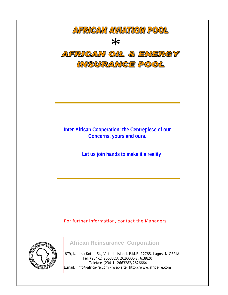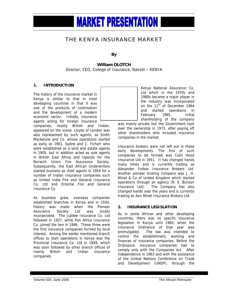#### THE KENYA INSURANCE MARKET

**By** 

#### **William OLOTCH**

Director, CEO, College of Insurance, Nairobi – KENYA

#### **1. INTRODUCTION**

The history of the insurance market in Kenya is similar to that in most developing countries in that it was one of the products of colonisation and the development of a modern economic sector. Initially, insurance agents acting for foreign insurance

companies, mostly British and Indian, appeared on the scene. Lloyds of London was also represented by such agents, as Smith Mackenzie and Co. whose operations started as early as 1901, Sydne and C. Fichart who were established as a land and estate agents in 1905, but in addition acted as sole agents in British East Africa and Uganda for the Norwich Union Fire Assurance Society. Subsequently, the East African Underwriters started business as chief agents in 1954 for a number of Indian Insurance companies such as United India Fire and General Insurance Co. Ltd and Oriental Fire and General Insurance Co.

As business grew, overseas companies established branches in Kenya and in 1930, history was made when the Pioneer Assurance Society Ltd was locally incorporated. The Jubilee Insurance Co. Ltd followed in 1937, while Pan Africa Insurance Co. joined the two in 1946. These three were the first insurance companies formed by local interest. Among the earlier mentioned branch offices to start operations in Kenya was the Provincial Insurance Co. Ltd in 1949, which was soon followed by other branch offices of mainly British and Indian insurance companies.

Kenya National Assurance Co. Ltd which in the 1970s and 1980s became a major player in the industry was incorporated on the 11<sup>th</sup> of December 1964 and started operations in February 1965. Initial shareholding of the company

was mainly private but the Government took over the ownership in 1973, after paying off other shareholders who included insurance companies in the market.

Insurance brokers were not left out in these early developments. The first of such companies to be formed was Colin Hood Insurance Ltd in 1951. It has changed hands many times and is currently trading as Alexander Forbes Insurance Brokers Ltd. Another pioneer broking company was J. H. Minet & Co of United Kingdom which started operations through an agency (R. E. Bunson Insurance Ltd). The Company has also changed hands over the years and is currently trading as Aon Minet Insurance Brokers Ltd.

#### **2. INSURANCE LEGISLATION**

As in some African and other developing countries, there was no specific insurance legislation in Kenya until 1960, when the Insurance Ordinance of that year was promulgated. The law was intended to control the establishment, working and finances of insurance companies. Before the Ordinance, insurance companies had to comply only with the Companies Act. After independence in 1963 and with the assistance of the United Nations Conference on Trade and Development (UNDP), through the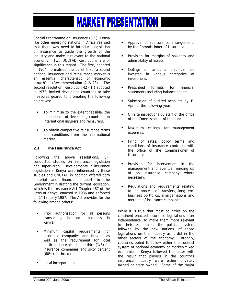Special Programme on Insurance (SPI), Kenya like other emerging nations in Africa realised that there was need to introduce legislation on insurance to guide the growth of the industry and make it relevant to the national economy. Two UNCTAD Resolutions are of significance in this regard. The first, adopted in 1964, formalised the belief that "a sound national insurance and reinsurance market is an essential characteristic of economic growth". (Recommendation A.IV.23). The second resolution, Resolution 42 (III) adopted in 1972, invited developing countries to take measures geared to promoting the following objectives:

- To minimise to the extent feasible, the dependence of developing countries on international insurers and reinsurers.
- To obtain competitive reinsurance terms and conditions from the international market.

#### **2.1 The Insurance Act**

Following the above resolutions, SPI conducted studies on insurance legislation and supervision. Developments in insurance legislation in Kenya were influenced by these studies and UNCTAD in addition offered both material and financial support to the Government in drafting the current legislation, which is the Insurance Act Chapter 487 of the Laws of Kenya, enacted in 1986 and enforced on 1<sup>st</sup> January 1987. The Act provides for the following among others:

- Prior authorisation for all persons transacting insurance business in Kenya.
- Minimum capital requirements for insurance companies and brokers as well as the requirement for local participation which is one third (1/3) for insurance companies and sixty percent (60%) for brokers.
- **Local incorporation.**
- Approval of reinsurance arrangements by the Commissioner of Insurance.
- **Provision for margins of solvency and** admissibility of assets.
- Ceilings on amounts that can be invested in various categories of investment.
- Prescribed formats for financial statements including balance sheets.
- Submission of audited accounts by  $1<sup>st</sup>$ April of the following year.
- On site inspections by staff of the office of the Commissioner of Insurance.
- Maximum ceilings for management expenses.
- **Filing of rates, policy terms and** conditions of insurance contracts with the office of the Commissioner of **Insurance**
- Provision for intervention in the management and eventual winding up of an insurance company where necessary.
- Regulations and requirements relating to the process of transfers, long-term business portfolios, amalgamations and mergers of insurance companies.

While it is true that most countries on the continent enacted insurance legislations after independence, to make them more relevant to their economies, the political system followed by the new nations influenced legislations on the industry as it did in the other sectors of the economy. Broadly, countries opted to follow either the socialist system of national economy or market/mixed economies. Kenya followed the latter with the result that players in the country's insurance industry were either privately owned or state owned. Some of the major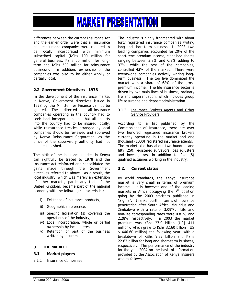differences between the current Insurance Act and the earlier order were that all insurance and reinsurance companies were required to be locally incorporated with minimum subscribed capital (KShs 100 million for general business, KShs 50 million for longterm and KShs 500 million for reinsurance business). In addition, ownership of the companies was also to be either wholly or partially local.

#### **2.2 Government Directives - 1978**

In the development of the insurance market in Kenya, Government directives issued in 1978 by the Minister for Finance cannot be ignored. These directed that all insurance companies operating in the country had to seek local incorporation and that all imports into the country had to be insured locally, while reinsurance treaties arranged by local companies should be reviewed and approved by Kenya Reinsurance Corporation, as the office of the supervisory authority had not been established.

The birth of the insurance market in Kenya can rightfully be traced to 1978 and the Insurance Act reinforced and consolidated the gains made through the Government directives referred to above. As a result, the local industry, which was merely an extension of other markets, particularly that of the United Kingdom, became part of the national economy with the following characteristics:

- i) Existence of insurance products,
- ii) Geographical reference,
- iii) Specific legislation (s) covering the operations of the industry,
- iv) Local incorporation, whole or partial ownership by local interests.
- v) Retention of part of the business written by insurers.

#### **3. THE MARKET**

#### **3.1 Market players**

3.1.1 Insurance Companies

The industry is highly fragmented with about forty registered insurance companies writing long and short-term business. In 2003, two leading companies accounted for 20% of the short-term premium income, eight had shares ranging between 3.7% and 6.3% adding to 37%, while the rest of the companies, controlled 43% of the market. There were twenty-one companies actively writing longterm business. The top five dominated the market with a share of 68% of the gross premium income. The life insurance sector is driven by two main lines of business; ordinary life and superanuation, which includes group life assurance and deposit administration.

#### 3.1.2 Insurance Brokers Agents and Other Service Providers

According to a list published by the Commissioner of Insurance, there are over two hundred registered insurance brokers currently operating in the market and one thousand (1000) registered insurance agents. The market also has about two hundred and fifty (250) registered surveyors, loss adjusters and investigators, in addition to five (5) qualified actuaries working in the industry.

#### **3.2. Current status**

By world standards, the Kenya insurance market is very small in terms of premium income. It is however one of the leading markets in Africa occupying the  $7<sup>th</sup>$  position going by the 2003 statistics published in "Sigma". It ranks fourth in terms of insurance penetration after South Africa, Mauritius and Zimbabwe with a rate of 3.09%. Life and non-life corresponding rates were 0.81% and 2.28% respectively. In 2003 the market premium was KShs 27.9 billion (US\$ 411 million), which grew to Kshs 32.60 billion (US \$ 446.60 million) the following year, with a breakdown of KShs 9.97 billion and KShs 22.63 billion for long and short-term business, respectively. The performance of the industry for the year 2004 on the basis of information provided by the Association of Kenya Insurers was as follows: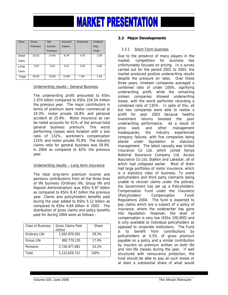| <b>Class</b> | Gross   | <b>Net</b> | <b>Incurred</b> | <b>Expenses</b> | <b>Underwr</b> |
|--------------|---------|------------|-----------------|-----------------|----------------|
|              | Premium | Earned     | Claims          |                 | iting          |
|              |         | Premium    |                 |                 | Profit         |
| Short        | 22.63   | 14.56      | 8.78            | 4.70            | 1.08           |
| Term         |         |            |                 |                 |                |
| Long         | 9.97    | 9.26       | 5.12            | 3.29            | 0.85           |
| Term         |         |            |                 |                 |                |
| Total        | 32.60   | 23.82      | 13.90           | 7.99            | 1.93           |

#### Underwriting results - General Business

The underwriting profit amounted to KShs 1.074 billion compared to KShs 224.54 million the previous year. The major contributors in terms of premium were motor commercial at 24.3%, motor private 16.8% and personal accident at 15.9%. Motor insurance as can be noted accounts for 41% of the annual total general business premium. The worst performing classes were Aviation with a loss ratio of 132%, workmen's compensation 115% and motor private 70.8%. The industry claims ratio for general business was 59.9% in 2004 as compared to 62% the previous year.

#### Underwriting results – Long term insurance

The total long-term premium income and pensions contributions from all the three lines of life business (Ordinary life, Group life and Deposit Administration) was KShs 9.97 billion as compared to KShs 8.47 billion the previous year. Claims and policyholders benefits paid during the year added to KShs 5.12 billion as compared to KShs 4.64 billion in 2003. The distribution of gross claims and policy benefits paid for during 2004 were as follows:-

| <b>Class of Business</b> | <b>Gross Claims Paid</b><br>(KShs) | Share |
|--------------------------|------------------------------------|-------|
| Ordinary Life            | 1,502,870,505                      | 29.3% |
| Group Life               | 892.779.135                        | 17.4% |
| Pensions                 | 2,726,977,081                      | 53,2% |
| Total                    | 5,122,626,721                      | 100%  |

#### **3.3 Major Developments**

#### 3.3.1. Short-Term business

Due to the presence of many players in the market, competition for business has unfortunately focused on pricing. In a survey carried out for the period 2001 to 2003, the market produced positive underwriting results despite the pressure on rates. Over these three years, nineteen companies averaged a combined ratio of under 100%, signifying underwriting profit, while the remaining sixteen companies showed underwriting losses, with the worst performer recording a combined ratio of 135%. In spite of this, all but two companies were able to realise a profit for year 2003 because healthy investment returns boosted the poor underwriting performance. As a result of price wars and other management inadequacies, the industry experienced company failures, with five companies being placed under liquidation or statutory management. The latest casualty was United Insurance Co Ltd, which joined Kenya National Assurance Company Ltd, Access Assurance Co Ltd, Stallion and Lakestar, all of which had collapsed earlier. Most of them had large portfolios of motor insurance, which is a statutory class of business. To avoid policyholders and third party claimants being unable to recover claims under the policies, the Government has set up a Policyholders' Compensation Fund under the Insurance (Policyholders' Compensation Fund) Regulations 2004. The fund is expected to pay claims which are a subject of a policy of insurance, where the underwriter has gone into liquidation. However, the level of compensation is very low (KShs 100,000) and is only available to individual policyholders as opposed to corporate institutions. The Fund is to benefit from contributions by policyholders at 0.5% of gross premium payable on a policy and a similar contribution by insurers on premium written on both life and non-life classes during the year. If well structured with reinsurance protection, the fund should be able to pay all such losses or at least a substantial share of what would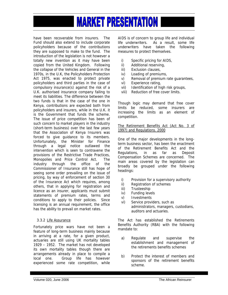have been recoverable from insurers. The Fund should also extend to include corporate policyholders because of the contributions they are supposed to make to the fund. The introduction of the legislation is not however a totally new invention as it may have been copied from the United Kingdom. Following the collapse of the Vehicles and General in the 1970s, in the U.K, the Policyholders Protection Act 1975, was enacted to protect private policyholders and third parties in the case of compulsory insurance(s) against the risk of a U.K. authorised insurance company failing to meet its liabilities. The difference between the two funds is that in the case of the one in Kenya, contributions are expected both from policyholders and insurers, while in the U.K. it is the Government that funds the scheme. The issue of price competition has been of such concern to market players in the industry (short-term business) over the last few years that the Association of Kenya Insurers was forced to give guidance to its members. Unfortunately, the Minister for Finance through a legal notice outlawed the intervention which is seen to contravene the provisions of the Restrictive Trade Practices, Monopolies and Price Control Act. The industry through the office of the Commissioner of Insurance still has hope of seeing some order prevailing on the issue of pricing, by way of enforcement of section 30 of the Insurance Act which requires, among others, that in applying for registration and licence as an insurer, applicants must submit statements of premium rates, terms and conditions to apply to their policies. Since licensing is an annual requirement, the office has the ability to prevail on market rates.

#### 3.3.2 Life Assurance

Fortunately price wars have not been a feature of long-term business mainly because in arriving at a rate, for a given product, actuaries are still using UK mortality tables 1929 – 1952. The market has not developed its own mortality tables though there are arrangements already in place to compile a local one. Group life has however experienced some rate competition, while AIDS is of concern to group life and individual life underwriters. As a result, some life underwriters have taken the following measures to protect themselves.

- i) Specific pricing for AIDS,
- ii) Additional reserving,
- iii) Exclusion clauses,
- iv) Loading of premiums,
- v) Removal of premium rate guarantees,
- vi) Experience rating,
- vii) Identification of high risk groups,
- viii) Reduction of free cover limits.

Though logic may demand that free cover limits be reduced, some insurers are increasing the limits as an element of competition.

The Retirement Benefits Act (Act No. 3 of 1997) and Regulations. 2000

One of the major developments in the longterm business sector, has been the enactment of the Retirement Benefits Act and the Regulations, in as far as Deposit Compensation Schemes are concerned. The main areas covered by the legislation can broadly be grouped under the following headings:

- i) Provision for a supervisory authority
- ii) Registration of schemes
- iii) Trusteeship
- iv) Funding levels
- v) Investments
- vi) Service providers, such as administrators, managers, custodians, auditors and actuaries.

The Act has established the Retirements Benefits Authority (RBA) with the following mandate to:

- a) Regulate and supervise the establishment and management of the retirements benefits schemes
- b) Protect the interest of members and sponsors of the retirement benefits scheme.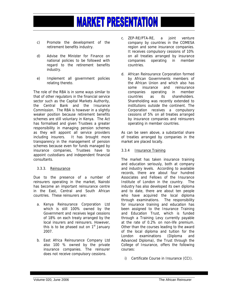- c) Promote the development of the retirement benefits industry.
- d) Advise the Minister for Finance on national policies to be followed with regard to the retirement benefits industry.
- e) Implement all government policies relating thereto.

The role of the RBA is in some ways similar to that of other regulators in the financial service sector such as the Capital Markets Authority, the Central Bank and the Insurance Commission. The RBA is however in a slightly weaker position because retirement benefits schemes are still voluntary in Kenya. The Act has formalised and given Trustees a greater responsibility in managing pension schemes as they will appoint all service providers including insurers. It has brought more transparency in the management of pension schemes because even for funds managed by insurance companies, Trustees have to appoint custodians and independent financial consultants.

#### 3.3.3. Reinsurance

Due to the presence of a number of reinsurers operating in the market, Nairobi has become an important reinsurance centre in the East, Central and South African countries. These reinsurers are:

- a. Kenya Reinsurance Corporation Ltd which is still 100% owned by the Government and receives legal cessions of 18% on each treaty arranged by the local insurers and reinsurers. However, this is to be phased out on  $1<sup>st</sup>$  January 2007.
- b. East Africa Reinsurance Company Ltd also 100 % owned by the private insurance companies. The reinsurer does not receive compulsory cessions.
- c. ZEP-RE/PTA-RE, a joint venture company by countries in the COMESA region and some insurance companies. It receives compulsory cessions of 10% on all treaties arranged by insurance companies operating in member countries.
- d. African Reinsurance Corporation formed by African Governments members of the African Union and which also has some insurance and reinsurance companies operating in member countries as its shareholders. Shareholding was recently extended to institutions outside the continent. The Corporation receives a compulsory cessions of 5% on all treaties arranged by insurance companies and reinsurers operating in member countries.

As can be seen above, a substantial share of treaties arranged by companies in the market are placed locally.

#### 3.3.4 Insurance Training

The market has taken insurance training and education seriously, both at company and industry levels. According to available records, there are about four hundred Associates and Fellows of the Insurance Institute of London in the country. The industry has also developed its own diploma and to date, there are about ten people who have acquired the local diploma through examinations. The responsibility for insurance training and education has been assigned to the Insurance Training and Education Trust, which is funded through a Training Levy currently payable at the rate of 0.2% on non-life premium. Other than the courses leading to the award of the local diploma and tuition for the London examinations (Diploma and Advanced Diploma), the Trust through the College of Insurance, offers the following courses:

i) Certificate Course in Insurance (CCI).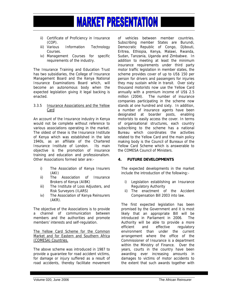- ii) Certificate of Proficiency in Insurance (COP).
- iii) Various Information Technology Courses.
- iv) Management Courses for specific requirements of the industry.

The Insurance Training and Education Trust has two subsidiaries, the College of Insurance Management Board and the Kenya National Insurance Examinations Board which, will become an autonomous body when the expected legislation giving it legal backing is enacted.

#### 3.3.5 Insurance Associations and the Yellow Card

An account of the Insurance industry in Kenya would not be complete without reference to various associations operating in the market. The oldest of these is the Insurance Institute of Kenya which was established in the late 1940s, as an affiliate of the Chartered Insurance Institute of London. Its main objective is the promotion of insurance training and education and professionalism. Other Associations formed later are:-

- i) The Association of Kenya Insurers (AKI)
- ii) The Association of Insurance Brokers of Kenya (AIBK)
- iii) The Institute of Loss Adjusters, and Risk Surveyors (ILARS)
- iv) The Association of Kenya Reinsurers (AKR).

The objective of the Associations is to provide a channel of communication between members and the authorities and promote members' interests and self-regulation.

The Yellow Card Scheme for the Common Market and for Eastern and Southern Africa (COMESA) Countries.

The above scheme was introduced in 1987 to provide a guarantee for road accident victims, for damage or injury suffered as a result of road accidents, thereby facilitate movement of vehicles between member countries. Subscribing member States are Burundi, Democratic Republic of Congo, Djibouti, Eritrea, Ethiopia, Kenya, Malawi, Rwanda, Sudan, Tanzania, Uganda and Zimbabwe. In addition to meeting at least the minimum insurance requirements under third party motor traffic legislation in member states, the scheme provides cover of up to US\$ 150 per person for drivers and passengers for injuries they may sustain while in transit. Over sixty thousand motorists now use the Yellow Card annually with a premium income of US\$ 2.5 million (2004). The number of insurance companies participating in the scheme now stands at one hundred and sixty. In addition, a number of insurance agents have been designated at boarder posts, enabling motorists to easily access the cover. In terms of organisational structures, each country subscribing to the scheme has a national Bureau which coordinates the activities related to the Yellow Card and the main policy making body is the Council of Bureaux of the Yellow Card Scheme which is answerable to the COMESA Council of Ministers.

#### **4. FUTURE DEVELOPMENTS**

The expected developments in the market include the introduction of the following:-

- i) Legislation establishing an Insurance Regulatory Authority
- ii) The enactment of the Accident Compensation Bill 2003 into law.

The first expected legislation has been promised by the Government and it is most likely that an appropriate Bill will be introduced in Parliament in 2006. The Authority will be able to provide a more efficient and effective regulatory environment than under the current arrangement where the office of the Commissioner of Insurance is a department within the Ministry of Finance. Over the years, courts in the country have been awarding ever increasing amounts in damages to victims of motor accidents to the extent that such awards together with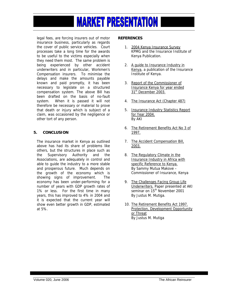legal fees, are forcing insurers out of motor insurance business, particularly as regards the cover of public service vehicles. Court processes take a long time for the awards to be useful to the victims especially when they need them most. The same problem is being experienced by other accident underwriters and in particular, Workmen's Compensation insurers. To minimise the delays and make the amounts payable known and paid promptly, it has been necessary to legislate on a structured compensation system. The above Bill has been drafted on the basis of no-fault system. When it is passed it will not therefore be necessary or material to prove that death or injury which is subject of a claim, was occasioned by the negligence or other tort of any person.

#### **5. CONCLUSION**

The insurance market in Kenya as outlined above has had its share of problems like others, but the structures in place such as the Supervisory Authority and the Associations, are adequately in control and able to guide the industry to a more stable and prosperous future. Much depends on the growth of the economy which is showing signs of improvement. The economy has been under-performing for a number of years with GDP growth rates of 1% or less. For the first time in many years, this has improved to 4% in 2004 and it is expected that the current year will show even better growth in GDP, estimated at 5%.

#### **REFERENCES**

- 1. 2004 Kenya Insurance Survey KPMG and the Insurance Institute of Kenya Publication.
- 2. A guide to Insurance Industry in Kenya, a publication of the Insurance Institute of Kenya.
- 3. Report of the Commissioner of Insurance Kenya for year ended 31<sup>st</sup> December 2003.
- 4. The Insurance Act (Chapter 487)
- 5. Insurance Industry Statistics Report for Year 2004. By AKI
- 6. The Retirement Benefits Act No 3 of 1997.
- 7. The Accident Compensation Bill, 2003.
- 8. The Regulatory Climate in the Insurance Industry in Africa with specific Reference to Kenya. By Sammy Mutua Makove – Commissioner of Insurance, Kenya
- 9. The Challenges Facing Group Life Underwriters. Paper presented at AKI seminar on 15<sup>th</sup> November 2001 By Justus M. Mutiga.
- 10. The Retirement Benefits Act 1997. Protection, Development Opportunity or Threat By Justus M. Mutiga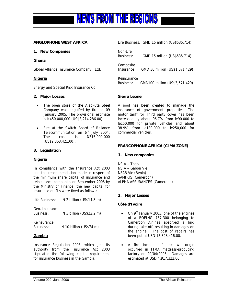

#### **ANGLOPHONE WEST AFRICA**

#### **1. New Companies**

#### **Ghana**

Global Alliance Insurance Company Ltd.

#### **Nigeria**

Energy and Special Risk Insurance Co.

#### **2. Major Losses**

- The open store of the Ajaokuta Steel Company was engulfed by fire on 09 January 2005. The provisional estimate is N450,000,000 (US\$3,214,286.00).
- Fire at the Switch Board of Reliance Telecommunication on  $6<sup>th</sup>$  July 2004. The cost is  $\frac{1}{2}$   $\frac{1}{2}$   $\frac{1}{2}$   $\frac{1}{2}$   $\frac{1}{2}$   $\frac{1}{2}$   $\frac{1}{2}$   $\frac{1}{2}$   $\frac{1}{2}$   $\frac{1}{2}$   $\frac{1}{2}$   $\frac{1}{2}$   $\frac{1}{2}$   $\frac{1}{2}$   $\frac{1}{2}$   $\frac{1}{2}$   $\frac{1}{2}$   $\frac{1}{2}$   $\frac{1}{2}$   $\frac{1}{2}$   $\frac{1}{2}$ (US\$2,368,421.00).

#### **3. Legislation**

#### **Nigeria**

In compliance with the Insurance Act 2003 and the recommendation made in respect of the minimum share capital of insurance and reinsurance companies on September 2005 by the Ministry of Finance, the new capital for insurance outfits were fixed as follows:

Life Business:  $\forall$  2 billion (US\$14.8 m)

Gen. Insurance Business: N 3 billion (US\$22.2 m)

Reinsurance Business:  $N = 10$  billion (US\$74 m)

#### **Gambia**

Insurance Regulation 2005, which gets its authority from the Insurance Act 2003 stipulated the following capital requirement for insurance business in the Gambia:

|                                 | Life Business: GMD 15 million (US\$535,714) |
|---------------------------------|---------------------------------------------|
| Non-Life<br>Business:           | GMD 15 million (US\$535,714)                |
| Composite<br>Insurance:         | GMD 30 million (US\$1,071,429)              |
| Reinsurance<br><b>Business:</b> | GMD100 million (US\$3,571,429)              |

#### **Sierra Leone**

A pool has been created to manage the insurance of government properties. The motor tariff for Third party cover has been increased by about 96.7% from le90,000 to le150,000 for private vehicles and about 38.9% from le180,000 to le250,000 for commercial vehicles.

#### **FRANCOPHONE AFRICA (CIMA ZONE)**

#### **1. New companies**

NSIA – Togo NSIA – Gabon Vie NSAB Vie (Benin) SAMIRIS (Cameroon) ALPHA ASSURANCES (Cameroon)

#### **2. Major Losses**

#### **Côte d'Ivoire**

- On 9<sup>th</sup> January 2005, one of the engines of a BOEING 767-300 belonging to Cameroon Airlines absorbed a bird during take-off, resulting in damages on the engine. The cost of repairs has been put at USD 15,328,416.00.
- A fire incident of unknown origin occurred in FIMA mattress-producing factory on 20/04/2005. Damages are estimated at USD 4,917,322.00.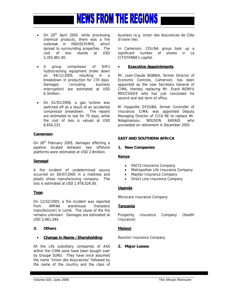

- On  $20^{th}$  April 2005, while processing chemical products, there was a fire outbreak in INDUSCHIMIE, which spread to surrounding properties. The cost of loss stands at USD 2,355.861.00.
- A group compressor of SIR's hydrocracking equipment broke down on 04/11/2005, resulting in a breakdown in production for 270 days. Damages (including business interruption) are estimated at USD 6.3million.
- On 01/01/2006, a gas turbine was switched off as a result of an accidental compressor breakdown. The repairs are estimated to last for 75 days, while the cost of loss is valued at USD 8,654,233.

#### **Cameroon**

On 26<sup>th</sup> February 2005, damages affecting a pipeline located between two offshore platforms were estimated at USD 2.8million.

#### **Senegal**

A fire incident of undetermined source occurred on 30/07/2005 in a mattress and plastic shoes manufacturing company. The loss is estimated at USD 1,978,026.00.

#### **Togo**

On 12/02/2005, a fire incident was reported from AMINA warehouse (hairpiece manufacturer) in Lomé. The cause of the fire remains unknown. Damages are estimated at USD 2,661,344.

#### **3. Others**

#### • **Change in Name /Shareholding**

All the Life subsidiary companies of AXA within the CIMA zone have been bought over by Groupe SUNU. They have since assumed the name "Union des Assurances" followed by the name of the country and the class of business (e.g. Union des Assurances de Côte d'Ivoire Vie).

In Cameroon, COLINA group took up a significant number of shares in La CITOYENNE's capital.

#### **Executive Appointments**

Mr. Jean-Claude NGBWA, former Director of Economic Controls, Cameroon, has been appointed as the new Secretary General of CIMA, thereby replacing Mr. Erard NONYU MOUTASSIE who has just concluded his second and last term of office.

M. Hyppolite OYOUBA, former Controller of Insurance, CIMA, was appointed Deputy Managing Director of CICA RE to replace Mr. Ndagmaissou NDUSON KADADI who proceeded on retirement in December 2005.

#### **EAST AND SOUTHERN AFRICA**

#### **1. New Companies**

#### **Kenya**

- PACIS Insurance Company
- Metropolitan Life Insurance Company
- Mayfair Insurance Company
- Direct Line Insurance Company

#### **Uganda**

Microcare Insurance Company

#### **Tanzania**

Prosperity Insurance Company (Health Insurance)

#### **Malawi**

Reunion Insurance Company

#### **2. Major Losses**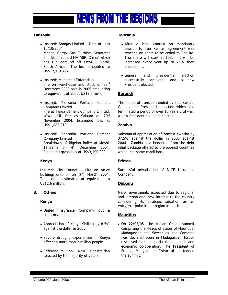

#### **Tanzania**

• Insured: Songas Limited – Date of Loss 16/10/2004

 Marine Cargo Gas Turbine Generator and Skids aboard MV "BBC China" which has run aground off Kwazulu Natal, South Africa. The loss amounted to US\$17,151,492.

- Insured: Mohamed Enterprises Fire on warehouse and stock on 23rd December 2003 paid in 2005 amounting to equivalent of about US\$2.5 million.
- Insured: Tanzania Portland Cement Company Limited Fire at Twiga Cement Company Limited, Wazo Hill, Dar es Salaam on 20<sup>th</sup> November 2004. Estimated loss at US\$1,883,319.
- Insured: Tanzania Portland Cement Company Limited Breakdown of Bigelon Boiler at Moshi, Tanzania on  $4^{\text{th}}$  December 2004. Estimated gross loss at US\$3,190,000.

#### **Kenya**

Insured: City Council – Fire on office building/contents on 2<sup>nd</sup> March 2004. Total claim estimated at equivalent to US\$2.6 million.

#### **3. Others**

#### **Kenya**

- United Insurance Company put a statutory management.
- Appreciation of Kenya Shilling by 8.5% against the dollar in 2005.
- Severe drought experienced in Kenya affecting more than 2 million people.
- Referendum on New Constitution rejected by the majority of voters.

#### **Tanzania**

- After a legal contest on mandatory cession to Tan Re, an agreement was reached on share to be ceded to Tan Re. The share will start at 10%. It will be increased every year up to 25% then phased out.
- General and presidential election successfully completed and a new President elected.

#### **Burundi**

The period of transition ended by a successful General and Presidential election which also terminated a period of over 10 years civil war. A new President has been elected.

#### **Zambia**

Substantial appreciation of Zambia Kwacha by 37.5% against the dollar in 2005 against 2004. Zambia also benefited from the debt relief package offered to the poorest countries which met some conditions.

#### **Eritrea**

Successful privatisation of NICE Insurance Company.

#### **Djibouti**

Major investments expected due to regional and international new interest to the country considering its strategic situation as an entry/exit point in the region in particular.

#### **Mauritius**

• On 22/07/05, the Indian Ocean summit comprising the Heads of States of Mauritius, Madagascar, the Seychelles and Comores was declared open in Madagascar. Issues discussed included political, diplomatic and economic co-operation. The President of France, Mr. Jacques Chirac also attended the summit.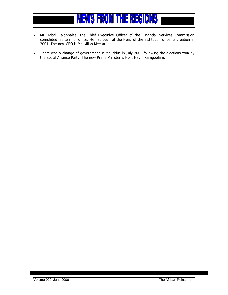### **NEWS FROM THE REGIONS**

- Mr. Iqbal Rajahbalee, the Chief Executive Officer of the Financial Services Commission completed his term of office. He has been at the Head of the institution since its creation in 2001. The new CEO is Mr. Milan Meetarbhan.
- There was a change of government in Mauritius in July 2005 following the elections won by the Social Alliance Party. The new Prime Minister is Hon. Navin Ramgoolam.